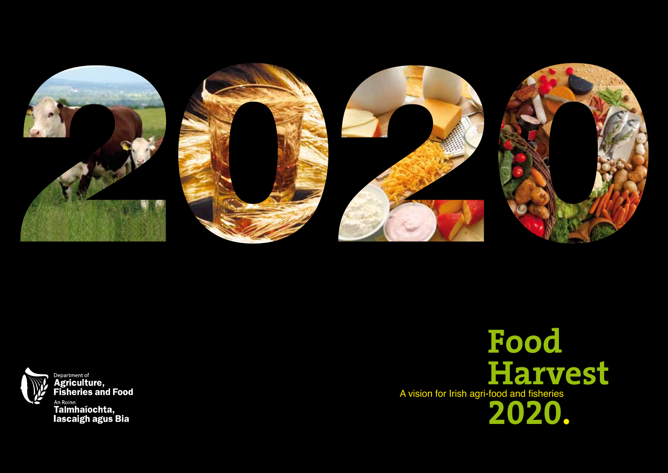



Department of<br>Agriculture,<br>Fisheries and Food <sub>An Roinn</sub><br>Talmhaíochta,<br>Iascaigh agus Bia

A vision for Irish agri-food and fisheries **Food Harvest 2020.**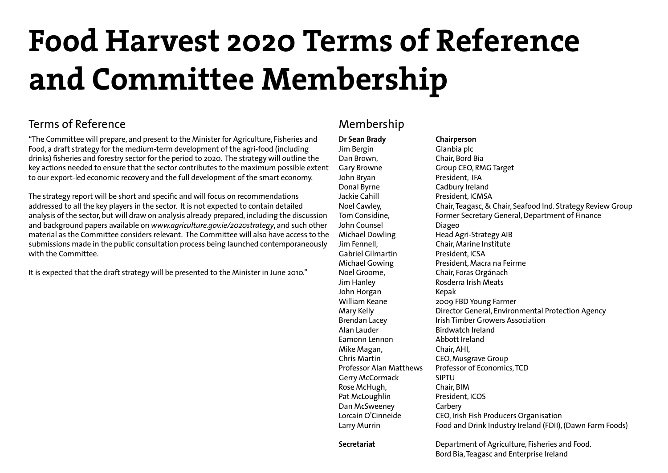# **Food Harvest 2020 Terms of Reference and Committee Membership**

# Terms of Reference

"The Committee will prepare, and present to the Minister for Agriculture, Fisheries and Food, a draft strategy for the medium-term development of the agri-food (including drinks) fisheries and forestry sector for the period to 2020. The strategy will outline the key actions needed to ensure that the sector contributes to the maximum possible extent to our export-led economic recovery and the full development of the smart economy.

The strategy report will be short and specific and will focus on recommendations addressed to all the key players in the sector. It is not expected to contain detailed analysis of the sector, but will draw on analysis already prepared, including the discussion and background papers available on *www.agriculture.gov.ie/2020strategy*, and such other material as the Committee considers relevant. The Committee will also have access to the submissions made in the public consultation process being launched contemporaneously with the Committee.

It is expected that the draft strategy will be presented to the Minister in June 2010."

# Membership

**Dr Sean Brady Chairperson** Jim Bergin Glanbia plc Dan Brown, Chair, Bord Bia Gary Browne Group CEO, RMG Target John Bryan President, IFA Donal Byrne Cadbury Ireland Jackie Cahill President, ICMSA John Counsel **Diageo** Michael Dowling Head Agri-Strategy AIB Jim Fennell, Chair, Marine Institute Gabriel Gilmartin President, ICSA Noel Groome, Chair, Foras Orgánach Jim Hanley Rosderra Irish Meats John Horgan Kepak Alan Lauder **Birdwatch Ireland** Eamonn Lennon Abbott Ireland Mike Magan, Chair, AHI, Chris Martin CEO, Musgrave Group Gerry McCormack SIPTU Rose McHugh, Chair, BIM Pat McLoughlin President, ICOS Dan McSweeney Carbery

Noel Cawley, Chair, Teagasc, & Chair, Seafood Ind. Strategy Review Group Tom Considine, Former Secretary General, Department of Finance Michael Gowing President, Macra na Feirme William Keane 2009 FBD Young Farmer Mary Kelly **Director General, Environmental Protection Agency** Brendan Lacey **Irish Timber Growers Association** Professor Alan Matthews Professor of Economics, TCD Lorcain O'Cinneide CEO, Irish Fish Producers Organisation Larry Murrin Food and Drink Industry Ireland (FDII), (Dawn Farm Foods)

**Secretariat** Department of Agriculture, Fisheries and Food. Bord Bia, Teagasc and Enterprise Ireland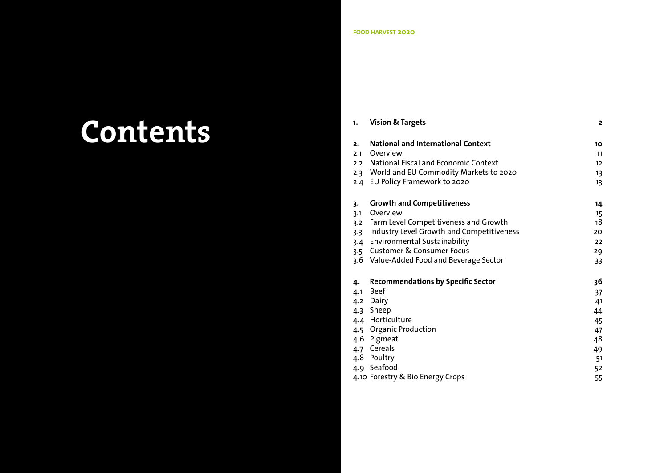# **Contents**

| 1.                                    | <b>Vision &amp; Targets</b>                                                                                                                                                                                                                                    | $\overline{2}$                                           |  |  |  |
|---------------------------------------|----------------------------------------------------------------------------------------------------------------------------------------------------------------------------------------------------------------------------------------------------------------|----------------------------------------------------------|--|--|--|
| 2.<br>2.1                             | <b>National and International Context</b><br>Overview<br>2.2 National Fiscal and Economic Context<br>2.3 World and EU Commodity Markets to 2020<br>2.4 EU Policy Framework to 2020                                                                             | 10<br>11<br>12<br>13<br>13                               |  |  |  |
| 3.<br>3.1<br>3.2<br>3.3<br>3.4<br>3.5 | <b>Growth and Competitiveness</b><br>Overview<br>Farm Level Competitiveness and Growth<br>Industry Level Growth and Competitiveness<br><b>Environmental Sustainability</b><br><b>Customer &amp; Consumer Focus</b><br>3.6 Value-Added Food and Beverage Sector | 14<br>15<br>18<br>20<br>22<br>29<br>33                   |  |  |  |
| 4.<br>4.1                             | <b>Recommendations by Specific Sector</b><br><b>Beef</b><br>4.2 Dairy<br>4.3 Sheep<br>4.4 Horticulture<br>4.5 Organic Production<br>4.6 Pigmeat<br>4.7 Cereals<br>4.8 Poultry<br>4.9 Seafood                                                                   | 36<br>37<br>41<br>44<br>45<br>47<br>48<br>49<br>51<br>52 |  |  |  |
| 4.10 Forestry & Bio Energy Crops      |                                                                                                                                                                                                                                                                |                                                          |  |  |  |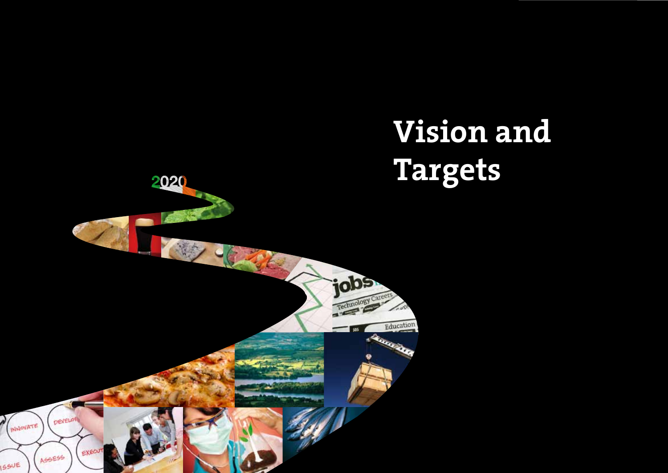

# **Vision and Targets**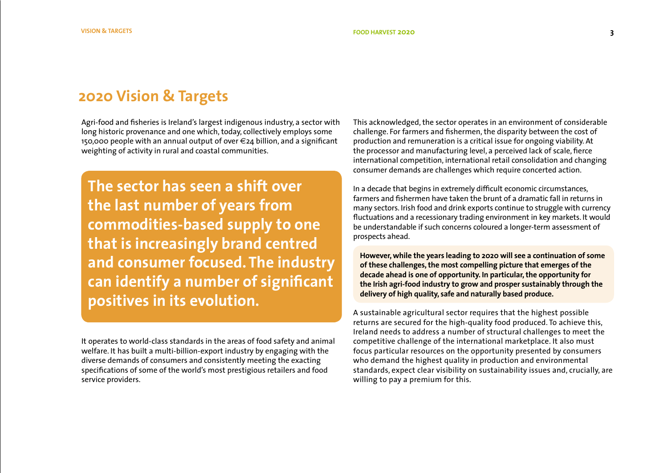# **2020 Vision & Targets**

Agri-food and fisheries is Ireland's largest indigenous industry, a sector with long historic provenance and one which, today, collectively employs some 150,000 people with an annual output of over €24 billion, and a significant weighting of activity in rural and coastal communities.

**The sector has seen a shift over the last number of years from commodities-based supply to one that is increasingly brand centred and consumer focused. The industry can identify a number of significant positives in its evolution.**

It operates to world-class standards in the areas of food safety and animal welfare. It has built a multi-billion-export industry by engaging with the diverse demands of consumers and consistently meeting the exacting specifications of some of the world's most prestigious retailers and food service providers.

This acknowledged, the sector operates in an environment of considerable challenge. For farmers and fishermen, the disparity between the cost of production and remuneration is a critical issue for ongoing viability. At the processor and manufacturing level, a perceived lack of scale, fierce international competition, international retail consolidation and changing consumer demands are challenges which require concerted action.

In a decade that begins in extremely difficult economic circumstances, farmers and fishermen have taken the brunt of a dramatic fall in returns in many sectors. Irish food and drink exports continue to struggle with currency fluctuations and a recessionary trading environment in key markets. It would be understandable if such concerns coloured a longer-term assessment of prospects ahead.

**However, while the years leading to 2020 will see a continuation of some of these challenges, the most compelling picture that emerges of the decade ahead is one of opportunity. In particular, the opportunity for the Irish agri-food industry to grow and prosper sustainably through the delivery of high quality, safe and naturally based produce.** 

A sustainable agricultural sector requires that the highest possible returns are secured for the high-quality food produced. To achieve this, Ireland needs to address a number of structural challenges to meet the competitive challenge of the international marketplace. It also must focus particular resources on the opportunity presented by consumers who demand the highest quality in production and environmental standards, expect clear visibility on sustainability issues and, crucially, are willing to pay a premium for this.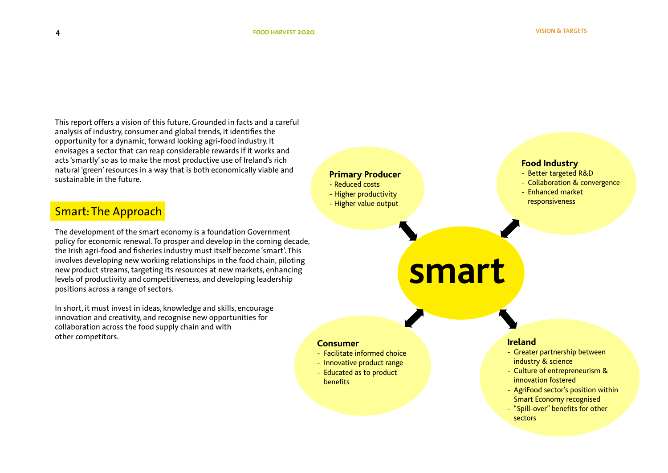This report offers a vision of this future. Grounded in facts and a careful analysis of industry, consumer and global trends, it identifies the opportunity for a dynamic, forward looking agri-food industry. It envisages a sector that can reap considerable rewards if it works and acts 'smartly' so as to make the most productive use of Ireland's rich natural 'green' resources in a way that is both economically viable and sustainable in the future.

# Smart: The Approach

The development of the smart economy is a foundation Government policy for economic renewal. To prosper and develop in the coming decade, the Irish agri-food and fisheries industry must itself become 'smart'. This involves developing new working relationships in the food chain, piloting new product streams, targeting its resources at new markets, enhancing levels of productivity and competitiveness, and developing leadership positions across a range of sectors.

In short, it must invest in ideas, knowledge and skills, encourage innovation and creativity, and recognise new opportunities for collaboration across the food supply chain and with other competitors.

### **Primary Producer**

- Reduced costs
- Higher productivity
- Higher value output

### **Food Industry**

- Better targeted R&D
- Collaboration & convergence
- Enhanced market responsiveness

# **smart**

**Consumer**

- Facilitate informed choice
- Innovative product range
- Educated as to product benefits

### **Ireland**

- Greater partnership between industry & science
- Culture of entrepreneurism & innovation fostered
- AgriFood sector's position within Smart Economy recognised
- "Spill-over" benefits for other sectors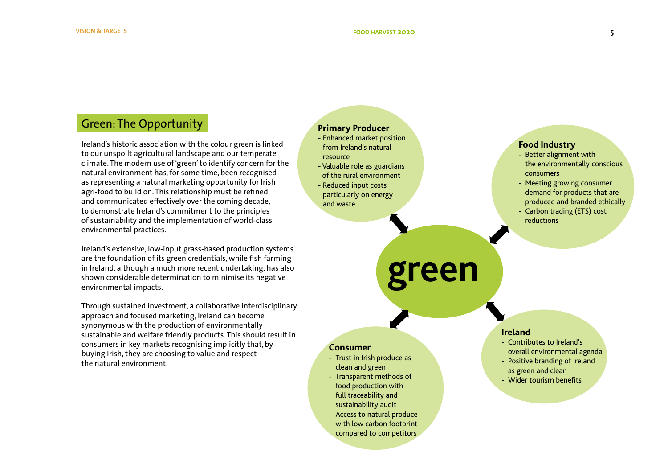# Green: The Opportunity

Ireland's historic association with the colour green is linked to our unspoilt agricultural landscape and our temperate climate. The modern use of 'green' to identify concern for the natural environment has, for some time, been recognised as representing a natural marketing opportunity for Irish agri-food to build on. This relationship must be refined and communicated effectively over the coming decade, to demonstrate Ireland's commitment to the principles of sustainability and the implementation of world-class environmental practices.

Ireland's extensive, low-input grass-based production systems are the foundation of its green credentials, while fish farming in Ireland, although a much more recent undertaking, has also shown considerable determination to minimise its negative environmental impacts.

Through sustained investment, a collaborative interdisciplinary approach and focused marketing, Ireland can become synonymous with the production of environmentally sustainable and welfare friendly products. This should result in consumers in key markets recognising implicitly that, by buying Irish, they are choosing to value and respect the natural environment.

### **Primary Producer**

- Enhanced market position from Ireland's natural resource - Valuable role as guardians
- of the rural environment
- Reduced input costs particularly on energy and waste

### **Food Industry**

- Better alignment with the environmentally conscious consumers
- Meeting growing consumer demand for products that are produced and branded ethically
- Carbon trading (ETS) cost reductions

# **green**

- **Consumer**
- Trust in Irish produce as clean and green
- Transparent methods of food production with full traceability and sustainability audit
- Access to natural produce with low carbon footprint compared to competitors

### **Ireland**

- Contributes to Ireland's overall environmental agenda
- Positive branding of Ireland as green and clean
- Wider tourism benefits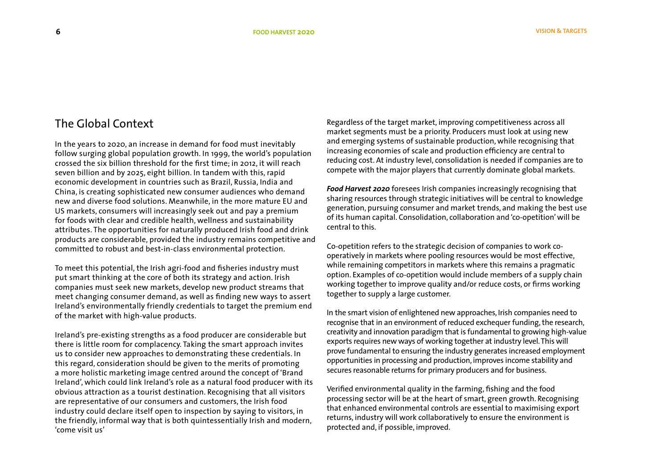# The Global Context

In the years to 2020, an increase in demand for food must inevitably follow surging global population growth. In 1999, the world's population crossed the six billion threshold for the first time; in 2012, it will reach seven billion and by 2025, eight billion. In tandem with this, rapid economic development in countries such as Brazil, Russia, India and China, is creating sophisticated new consumer audiences who demand new and diverse food solutions. Meanwhile, in the more mature EU and US markets, consumers will increasingly seek out and pay a premium for foods with clear and credible health, wellness and sustainability attributes. The opportunities for naturally produced Irish food and drink products are considerable, provided the industry remains competitive and committed to robust and best-in-class environmental protection.

To meet this potential, the Irish agri-food and fisheries industry must put smart thinking at the core of both its strategy and action. Irish companies must seek new markets, develop new product streams that meet changing consumer demand, as well as finding new ways to assert Ireland's environmentally friendly credentials to target the premium end of the market with high-value products.

Ireland's pre-existing strengths as a food producer are considerable but there is little room for complacency. Taking the smart approach invites us to consider new approaches to demonstrating these credentials. In this regard, consideration should be given to the merits of promoting a more holistic marketing image centred around the concept of 'Brand Ireland', which could link Ireland's role as a natural food producer with its obvious attraction as a tourist destination. Recognising that all visitors are representative of our consumers and customers, the Irish food industry could declare itself open to inspection by saying to visitors, in the friendly, informal way that is both quintessentially Irish and modern, 'come visit us'

Regardless of the target market, improving competitiveness across all market segments must be a priority. Producers must look at using new and emerging systems of sustainable production, while recognising that increasing economies of scale and production efficiency are central to reducing cost. At industry level, consolidation is needed if companies are to compete with the major players that currently dominate global markets.

*Food Harvest 2020* foresees Irish companies increasingly recognising that sharing resources through strategic initiatives will be central to knowledge generation, pursuing consumer and market trends, and making the best use of its human capital. Consolidation, collaboration and 'co-opetition' will be central to this.

Co-opetition refers to the strategic decision of companies to work cooperatively in markets where pooling resources would be most effective, while remaining competitors in markets where this remains a pragmatic option. Examples of co-opetition would include members of a supply chain working together to improve quality and/or reduce costs, or firms working together to supply a large customer.

In the smart vision of enlightened new approaches, Irish companies need to recognise that in an environment of reduced exchequer funding, the research, creativity and innovation paradigm that is fundamental to growing high-value exports requires new ways of working together at industry level. This will prove fundamental to ensuring the industry generates increased employment opportunities in processing and production, improves income stability and secures reasonable returns for primary producers and for business.

Verified environmental quality in the farming, fishing and the food processing sector will be at the heart of smart, green growth. Recognising that enhanced environmental controls are essential to maximising export returns, industry will work collaboratively to ensure the environment is protected and, if possible, improved.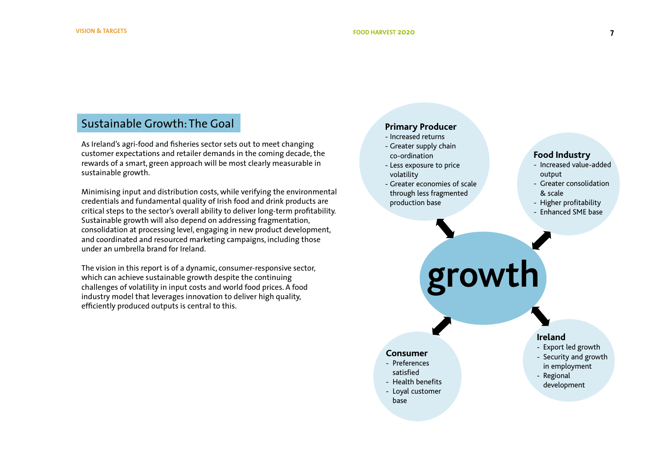# Sustainable Growth: The Goal

As Ireland's agri-food and fisheries sector sets out to meet changing customer expectations and retailer demands in the coming decade, the rewards of a smart, green approach will be most clearly measurable in sustainable growth.

Minimising input and distribution costs, while verifying the environmental credentials and fundamental quality of Irish food and drink products are critical steps to the sector's overall ability to deliver long-term profitability. Sustainable growth will also depend on addressing fragmentation, consolidation at processing level, engaging in new product development, and coordinated and resourced marketing campaigns, including those under an umbrella brand for Ireland.

The vision in this report is of a dynamic, consumer-responsive sector, which can achieve sustainable growth despite the continuing challenges of volatility in input costs and world food prices. A food industry model that leverages innovation to deliver high quality, efficiently produced outputs is central to this.

### **Primary Producer**

- Increased returns
- Greater supply chain co-ordination
- Less exposure to price volatility
- Greater economies of scale through less fragmented production base

### **Food Industry**

- Increased value-added output
- Greater consolidation & scale
- Higher profitability
- Enhanced SME base

# **growth**

### **Consumer**

- Preferences satisfied
- Health benefits
- Loyal customer
- base

### **Ireland**

- Export led growth
- Security and growth in employment
- Regional development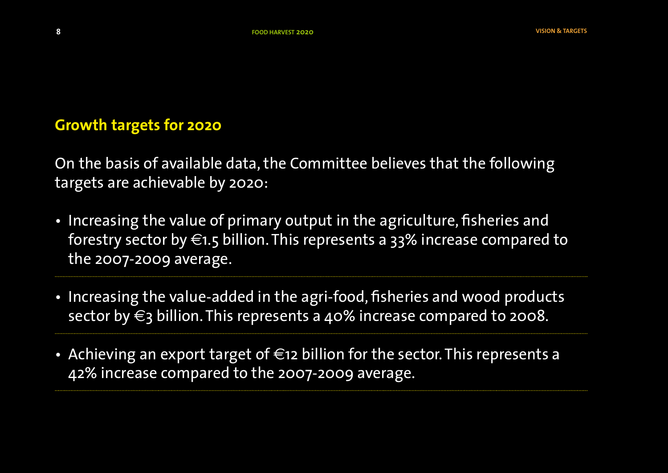# **Growth targets for 2020**

On the basis of available data, the Committee believes that the following targets are achievable by 2020:

- Increasing the value of primary output in the agriculture, fisheries and forestry sector by  $\in$ 1.5 billion. This represents a 33% increase compared to the 2007-2009 average.
- Increasing the value-added in the agri-food, fisheries and wood products sector by  $\epsilon_3$  billion. This represents a 40% increase compared to 2008.
- Achieving an export target of  $\epsilon$ 12 billion for the sector. This represents a 42% increase compared to the 2007-2009 average.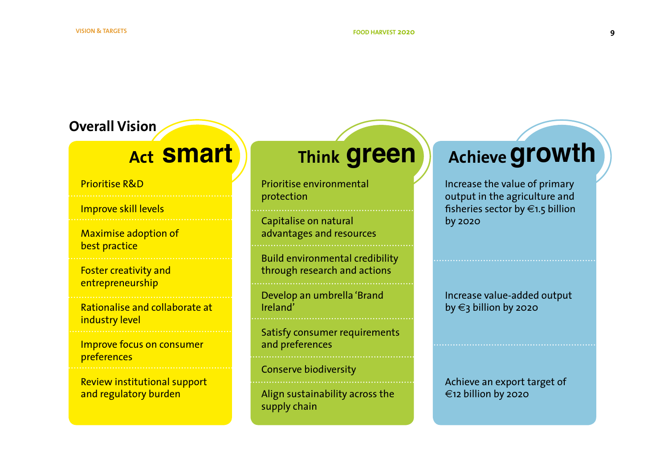# **Overall Vision**

Prioritise R&D

Improve skill levels

Maximise adoption of best practice

Foster creativity and entrepreneurship

Rationalise and collaborate at industry level

Improve focus on consumer preferences

Review institutional support and regulatory burden

# **Act Smart green**

Prioritise environmental protection

Capitalise on natural advantages and resources

Build environmental credibility through research and actions

Develop an umbrella 'Brand Ireland'

Satisfy consumer requirements and preferences

Conserve biodiversity

Align sustainability across the supply chain

# **Achieve growth**

Increase the value of primary output in the agriculture and fisheries sector by €1.5 billion by 2020

Increase value-added output by €3 billion by 2020

Achieve an export target of €12 billion by 2020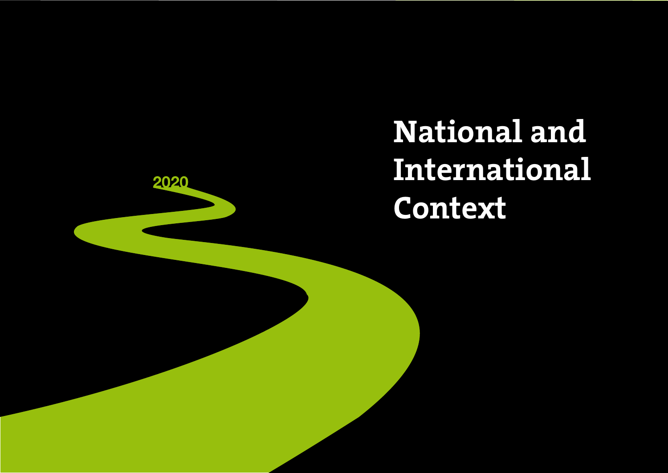**National and International Context**

2020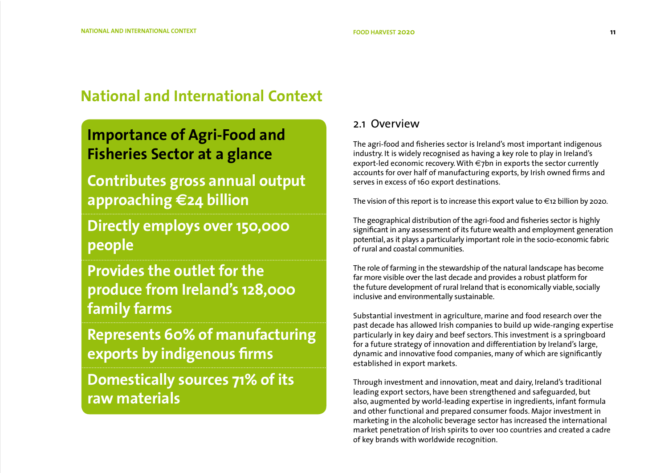# **National and International Context**

# **Importance of Agri-Food and Fisheries Sector at a glance**

**Contributes gross annual output approaching €24 billion**

**Directly employs over 150,000 people**

**Provides the outlet for the produce from Ireland's 128,000 family farms**

**Represents 60% of manufacturing exports by indigenous firms** 

**Domestically sources 71% of its raw materials**

### 2.1 Overview

The agri-food and fisheries sector is Ireland's most important indigenous industry. It is widely recognised as having a key role to play in Ireland's export-led economic recovery. With €7bn in exports the sector currently accounts for over half of manufacturing exports, by Irish owned firms and serves in excess of 160 export destinations.

The vision of this report is to increase this export value to  $\epsilon$ 12 billion by 2020.

The geographical distribution of the agri-food and fisheries sector is highly significant in any assessment of its future wealth and employment generation potential, as it plays a particularly important role in the socio-economic fabric of rural and coastal communities.

The role of farming in the stewardship of the natural landscape has become far more visible over the last decade and provides a robust platform for the future development of rural Ireland that is economically viable, socially inclusive and environmentally sustainable.

Substantial investment in agriculture, marine and food research over the past decade has allowed Irish companies to build up wide-ranging expertise particularly in key dairy and beef sectors. This investment is a springboard for a future strategy of innovation and differentiation by Ireland's large, dynamic and innovative food companies, many of which are significantly established in export markets.

Through investment and innovation, meat and dairy, Ireland's traditional leading export sectors, have been strengthened and safeguarded, but also, augmented by world-leading expertise in ingredients, infant formula and other functional and prepared consumer foods. Major investment in marketing in the alcoholic beverage sector has increased the international market penetration of Irish spirits to over 100 countries and created a cadre of key brands with worldwide recognition.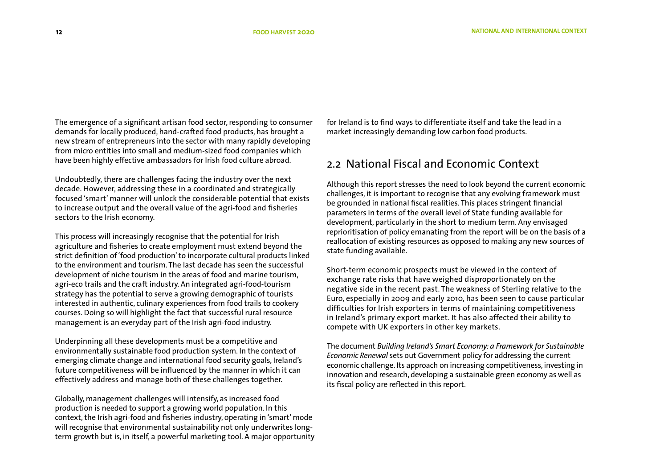The emergence of a significant artisan food sector, responding to consumer demands for locally produced, hand-crafted food products, has brought a new stream of entrepreneurs into the sector with many rapidly developing from micro entities into small and medium-sized food companies which have been highly effective ambassadors for Irish food culture abroad.

Undoubtedly, there are challenges facing the industry over the next decade. However, addressing these in a coordinated and strategically focused 'smart' manner will unlock the considerable potential that exists to increase output and the overall value of the agri-food and fisheries sectors to the Irish economy.

This process will increasingly recognise that the potential for Irish agriculture and fisheries to create employment must extend beyond the strict definition of 'food production' to incorporate cultural products linked to the environment and tourism. The last decade has seen the successful development of niche tourism in the areas of food and marine tourism, agri-eco trails and the craft industry. An integrated agri-food-tourism strategy has the potential to serve a growing demographic of tourists interested in authentic, culinary experiences from food trails to cookery courses. Doing so will highlight the fact that successful rural resource management is an everyday part of the Irish agri-food industry.

Underpinning all these developments must be a competitive and environmentally sustainable food production system. In the context of emerging climate change and international food security goals, Ireland's future competitiveness will be influenced by the manner in which it can effectively address and manage both of these challenges together.

Globally, management challenges will intensify, as increased food production is needed to support a growing world population. In this context, the Irish agri-food and fisheries industry, operating in 'smart' mode will recognise that environmental sustainability not only underwrites longterm growth but is, in itself, a powerful marketing tool. A major opportunity for Ireland is to find ways to differentiate itself and take the lead in a market increasingly demanding low carbon food products.

# 2.2 National Fiscal and Economic Context

Although this report stresses the need to look beyond the current economic challenges, it is important to recognise that any evolving framework must be grounded in national fiscal realities. This places stringent financial parameters in terms of the overall level of State funding available for development, particularly in the short to medium term. Any envisaged reprioritisation of policy emanating from the report will be on the basis of a reallocation of existing resources as opposed to making any new sources of state funding available.

Short-term economic prospects must be viewed in the context of exchange rate risks that have weighed disproportionately on the negative side in the recent past. The weakness of Sterling relative to the Euro, especially in 2009 and early 2010, has been seen to cause particular difficulties for Irish exporters in terms of maintaining competitiveness in Ireland's primary export market. It has also affected their ability to compete with UK exporters in other key markets.

The document *Building Ireland's Smart Economy: a Framework for Sustainable Economic Renewal* sets out Government policy for addressing the current economic challenge. Its approach on increasing competitiveness, investing in innovation and research, developing a sustainable green economy as well as its fiscal policy are reflected in this report.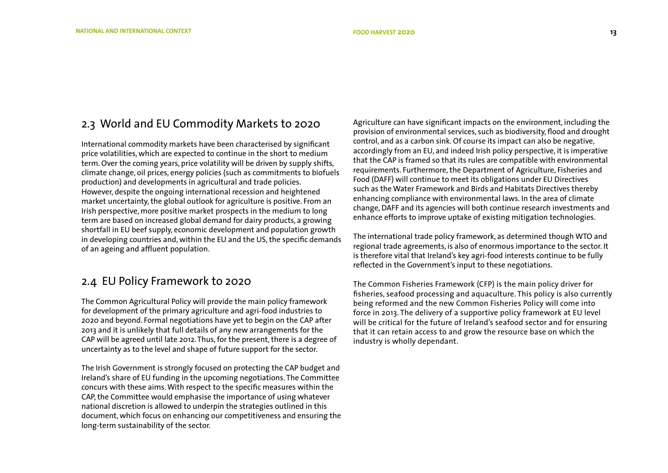### 2.3 World and EU Commodity Markets to 2020

International commodity markets have been characterised by significant price volatilities, which are expected to continue in the short to medium term. Over the coming years, price volatility will be driven by supply shifts, climate change, oil prices, energy policies (such as commitments to biofuels production) and developments in agricultural and trade policies. However, despite the ongoing international recession and heightened market uncertainty, the global outlook for agriculture is positive. From an Irish perspective, more positive market prospects in the medium to long term are based on increased global demand for dairy products, a growing shortfall in EU beef supply, economic development and population growth in developing countries and, within the EU and the US, the specific demands of an ageing and affluent population.

# 2.4 EU Policy Framework to 2020

The Common Agricultural Policy will provide the main policy framework for development of the primary agriculture and agri-food industries to 2020 and beyond. Formal negotiations have yet to begin on the CAP after 2013 and it is unlikely that full details of any new arrangements for the CAP will be agreed until late 2012. Thus, for the present, there is a degree of uncertainty as to the level and shape of future support for the sector.

The Irish Government is strongly focused on protecting the CAP budget and Ireland's share of EU funding in the upcoming negotiations. The Committee concurs with these aims. With respect to the specific measures within the CAP, the Committee would emphasise the importance of using whatever national discretion is allowed to underpin the strategies outlined in this document, which focus on enhancing our competitiveness and ensuring the long-term sustainability of the sector.

Agriculture can have significant impacts on the environment, including the provision of environmental services, such as biodiversity, flood and drought control, and as a carbon sink. Of course its impact can also be negative, accordingly from an EU, and indeed Irish policy perspective, it is imperative that the CAP is framed so that its rules are compatible with environmental requirements. Furthermore, the Department of Agriculture, Fisheries and Food (DAFF) will continue to meet its obligations under EU Directives such as the Water Framework and Birds and Habitats Directives thereby enhancing compliance with environmental laws. In the area of climate change, DAFF and its agencies will both continue research investments and enhance efforts to improve uptake of existing mitigation technologies.

The international trade policy framework, as determined though WTO and regional trade agreements, is also of enormous importance to the sector. It is therefore vital that Ireland's key agri-food interests continue to be fully reflected in the Government's input to these negotiations.

The Common Fisheries Framework (CFP) is the main policy driver for fisheries, seafood processing and aquaculture. This policy is also currently being reformed and the new Common Fisheries Policy will come into force in 2013. The delivery of a supportive policy framework at EU level will be critical for the future of Ireland's seafood sector and for ensuring that it can retain access to and grow the resource base on which the industry is wholly dependant.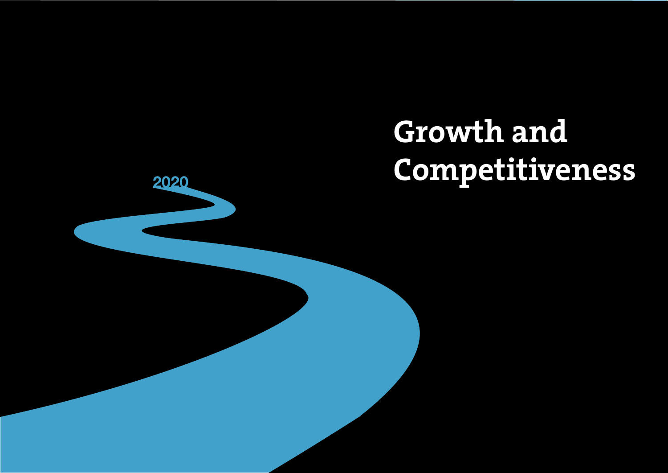# **Growth and Competitiveness**

2020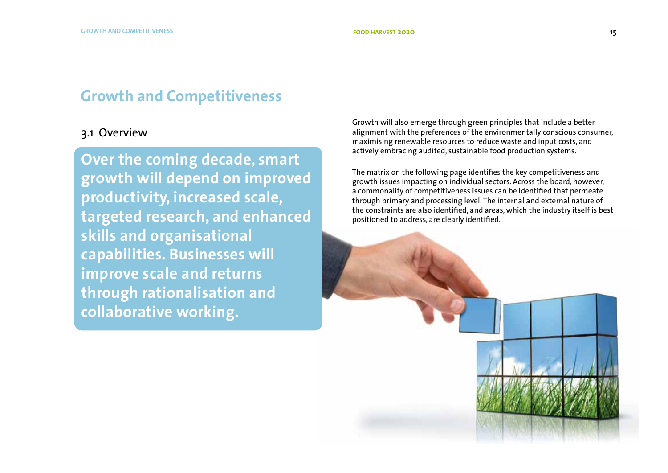# **Growth and Competitiveness**

# 3.1 Overview

**Over the coming decade, smart growth will depend on improved productivity, increased scale, targeted research, and enhanced skills and organisational capabilities. Businesses will improve scale and returns through rationalisation and collaborative working.** 

Growth will also emerge through green principles that include a better alignment with the preferences of the environmentally conscious consumer, maximising renewable resources to reduce waste and input costs, and actively embracing audited, sustainable food production systems.

The matrix on the following page identifies the key competitiveness and growth issues impacting on individual sectors. Across the board, however, a commonality of competitiveness issues can be identified that permeate through primary and processing level. The internal and external nature of the constraints are also identified, and areas, which the industry itself is best positioned to address, are clearly identified.

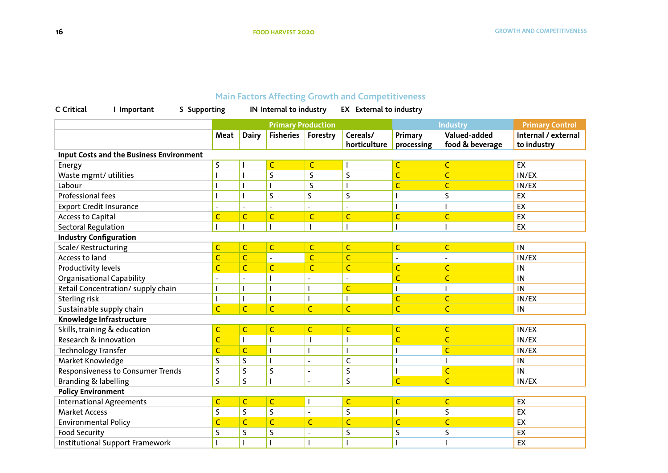# **Main Factors Affecting Growth and Competitiveness**

| C Critical<br>I Important                       | S Supporting   |                           | IN Internal to industry  |                         | <b>EX</b> External to industry |                         |                                 |                                    |
|-------------------------------------------------|----------------|---------------------------|--------------------------|-------------------------|--------------------------------|-------------------------|---------------------------------|------------------------------------|
|                                                 |                | <b>Primary Production</b> |                          |                         | Industry                       |                         | <b>Primary Control</b>          |                                    |
|                                                 | Meat           | <b>Dairy</b>              | <b>Fisheries</b>         | Forestry                | Cereals/<br>horticulture       | Primary<br>processing   | Valued-added<br>food & beverage | Internal / external<br>to industry |
| <b>Input Costs and the Business Environment</b> |                |                           |                          |                         |                                |                         |                                 |                                    |
| Energy                                          | $\mathsf S$    |                           | $\mathsf{C}$             | $\overline{\mathsf{C}}$ |                                | $\overline{\mathsf{C}}$ | $\mathsf{C}$                    | EX                                 |
| Waste mgmt/ utilities                           |                |                           | $\mathsf S$              | S                       | $\mathsf S$                    | $\overline{\mathsf{C}}$ | $\mathsf{C}$                    | IN/EX                              |
| Labour                                          |                |                           | $\overline{\phantom{a}}$ | S                       |                                | $\overline{\mathsf{C}}$ | C                               | IN/EX                              |
| Professional fees                               |                |                           | $\mathsf S$              | $\mathsf S$             | S                              |                         | S                               | EX                                 |
| <b>Export Credit Insurance</b>                  |                | $\blacksquare$            | $\overline{a}$           |                         | $\blacksquare$                 |                         |                                 | EX                                 |
| Access to Capital                               |                | $\overline{C}$            | $\mathsf{C}$             | $\overline{C}$          | $\mathsf{C}$                   | $\overline{\mathsf{C}}$ | Ċ                               | EX                                 |
| <b>Sectoral Regulation</b>                      |                |                           | I                        |                         |                                |                         |                                 | EX                                 |
| <b>Industry Configuration</b>                   |                |                           |                          |                         |                                |                         |                                 |                                    |
| Scale/Restructuring                             | $\mathsf{C}$   | $\mathsf{C}$              | $\mathsf{C}$             | C                       | $\mathsf{C}$                   | C                       | C                               | IN                                 |
| Access to land                                  | $\overline{C}$ | $\overline{C}$            | $\blacksquare$           | Ċ                       | $\overline{C}$                 | $\blacksquare$          | ٠                               | IN/EX                              |
| Productivity levels                             | C              | $\overline{C}$            | $\mathsf{C}$             | C                       | $\mathsf{C}$                   | $\overline{C}$          | C                               | IN                                 |
| Organisational Capability                       |                | $\blacksquare$            |                          |                         | $\blacksquare$                 | $\overline{C}$          | Ċ                               | IN                                 |
| Retail Concentration/ supply chain              |                |                           | $\overline{\phantom{a}}$ |                         | Ċ                              |                         |                                 | IN                                 |
| Sterling risk                                   |                |                           | I                        |                         |                                | $\overline{C}$          | Ċ                               | IN/EX                              |
| Sustainable supply chain                        | $\overline{C}$ | $\overline{C}$            | $\mathsf{C}$             | $\overline{C}$          | $\overline{C}$                 | $\overline{C}$          | $\mathsf{C}$                    | IN                                 |
| Knowledge Infrastructure                        |                |                           |                          |                         |                                |                         |                                 |                                    |
| Skills, training & education                    | $\mathsf{C}$   | $\mathsf{C}$              | $\mathsf{C}$             | $\overline{C}$          | $\mathsf{C}$                   | $\overline{C}$          | C                               | IN/EX                              |
| Research & innovation                           | $\overline{C}$ |                           | $\mathsf{l}$             |                         |                                | $\overline{C}$          | C                               | IN/EX                              |
| Technology Transfer                             | C              | $\overline{C}$            | $\overline{\phantom{a}}$ |                         |                                |                         | C                               | IN/EX                              |
| Market Knowledge                                | S              | $\mathsf S$               | $\overline{\phantom{a}}$ | $\blacksquare$          | $\mathsf{C}$                   |                         |                                 | $\sf IN$                           |
| Responsiveness to Consumer Trends               | S              | $\mathsf S$               | $\sf S$                  | L,                      | $\mathsf S$                    |                         | C                               | IN                                 |
| Branding & labelling                            |                | $\mathsf S$               | $\overline{\phantom{a}}$ | $\blacksquare$          | $\mathsf S$                    | $\overline{C}$          | $\overline{C}$                  | IN/EX                              |
| <b>Policy Environment</b>                       |                |                           |                          |                         |                                |                         |                                 |                                    |
| <b>International Agreements</b>                 | $\mathsf{C}$   | $\mathsf{C}$              | $\mathsf{C}$             |                         | $\mathsf{C}$                   | $\mathsf{C}$            | $\overline{C}$                  | EX                                 |
| <b>Market Access</b>                            | S              | $\mathsf S$               | $\sf S$                  |                         | $\mathsf S$                    |                         | S                               | EX                                 |
| <b>Environmental Policy</b>                     | $\mathsf{C}$   | $\mathsf{C}$              | $\mathsf{C}$             | $\overline{C}$          | $\mathsf{C}$                   | $\mathsf{C}$            | C                               | EX                                 |
| Food Security                                   | S              | $\mathsf S$               | $\sf S$                  |                         | $\mathsf S$                    | S                       | S                               | EX                                 |
| Institutional Support Framework                 |                |                           |                          |                         |                                |                         |                                 | EX                                 |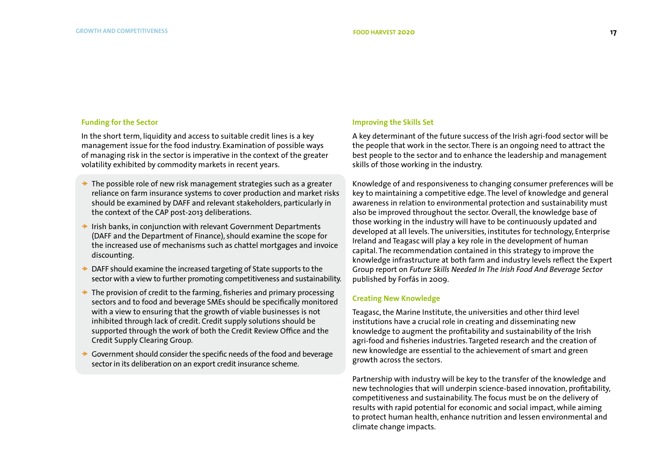### **Funding for the Sector**

In the short term, liquidity and access to suitable credit lines is a key management issue for the food industry. Examination of possible ways of managing risk in the sector is imperative in the context of the greater volatility exhibited by commodity markets in recent years.

- $\rightarrow$  The possible role of new risk management strategies such as a greater reliance on farm insurance systems to cover production and market risks should be examined by DAFF and relevant stakeholders, particularly in the context of the CAP post-2013 deliberations.
- $\rightarrow$  Irish banks, in conjunction with relevant Government Departments (DAFF and the Department of Finance), should examine the scope for the increased use of mechanisms such as chattel mortgages and invoice discounting.
- $\rightarrow$  DAFF should examine the increased targeting of State supports to the sector with a view to further promoting competitiveness and sustainability.
- $\rightarrow$  The provision of credit to the farming, fisheries and primary processing sectors and to food and beverage SMEs should be specifically monitored with a view to ensuring that the growth of viable businesses is not inhibited through lack of credit. Credit supply solutions should be supported through the work of both the Credit Review Office and the Credit Supply Clearing Group.
- $\rightarrow$  Government should consider the specific needs of the food and beverage sector in its deliberation on an export credit insurance scheme.

### **Improving the Skills Set**

A key determinant of the future success of the Irish agri-food sector will be the people that work in the sector. There is an ongoing need to attract the best people to the sector and to enhance the leadership and management skills of those working in the industry.

Knowledge of and responsiveness to changing consumer preferences will be key to maintaining a competitive edge. The level of knowledge and general awareness in relation to environmental protection and sustainability must also be improved throughout the sector. Overall, the knowledge base of those working in the industry will have to be continuously updated and developed at all levels. The universities, institutes for technology, Enterprise Ireland and Teagasc will play a key role in the development of human capital. The recommendation contained in this strategy to improve the knowledge infrastructure at both farm and industry levels reflect the Expert Group report on *Future Skills Needed In The Irish Food And Beverage Sector* published by Forfás in 2009.

### **Creating New Knowledge**

Teagasc, the Marine Institute, the universities and other third level institutions have a crucial role in creating and disseminating new knowledge t0 augment the profitability and sustainability of the Irish agri-food and fisheries industries. Targeted research and the creation of new knowledge are essential to the achievement of smart and green growth across the sectors.

Partnership with industry will be key to the transfer of the knowledge and new technologies that will underpin science-based innovation, profitability, competitiveness and sustainability. The focus must be on the delivery of results with rapid potential for economic and social impact, while aiming to protect human health, enhance nutrition and lessen environmental and climate change impacts.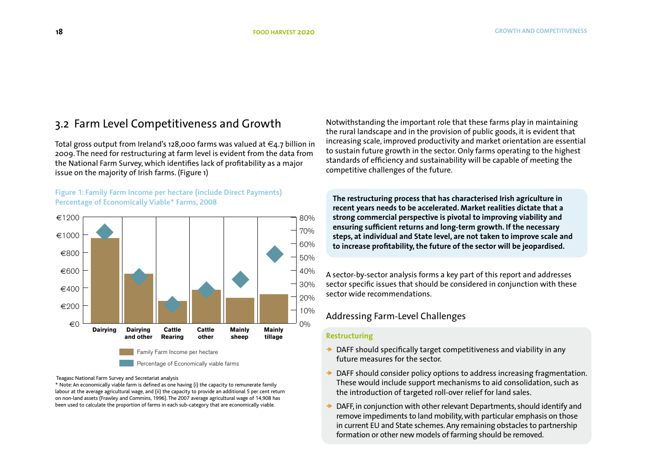# 3.2 Farm Level Competitiveness and Growth

Total gross output from Ireland's 128,000 farms was valued at  $\in$ 4.7 billion in 2009. The need for restructuring at farm level is evident from the data from the National Farm Survey, which identifies lack of profitability as a major issue on the majority of Irish farms. (Figure 1)

### **Figure 1: Family Farm Income per hectare (include Direct Payments) Percentage of Economically Viable\* Farms, 2008**



Teagasc National Farm Survey and Secretariat analysis

\* Note: An economically viable farm is defined as one having (i) the capacity to remunerate family labour at the average agricultural wage, and (ii) the capacity to provide an additional 5 per cent return on non-land assets (Frawley and Commins, 1996). The 2007 average agricultural wage of 14,908 has been used to calculate the proportion of farms in each sub-category that are economically viable.

Notwithstanding the important role that these farms play in maintaining the rural landscape and in the provision of public goods, it is evident that increasing scale, improved productivity and market orientation are essential to sustain future growth in the sector. Only farms operating to the highest standards of efficiency and sustainability will be capable of meeting the competitive challenges of the future.

**The restructuring process that has characterised Irish agriculture in recent years needs to be accelerated. Market realities dictate that a strong commercial perspective is pivotal to improving viability and ensuring sufficient returns and long-term growth. If the necessary steps, at individual and State level, are not taken to improve scale and to increase profitability, the future of the sector will be jeopardised.** 

A sector-by-sector analysis forms a key part of this report and addresses sector specific issues that should be considered in conjunction with these sector specific issues that should<br>sector wide recommendations.

### Addressing Farm-Level Challenges

### **Restructuring**

- **→** DAFF should specifically target competitiveness and viability in any future measures for the sector.  $\epsilon$
- DAFF should consider policy options to address increasing fragmentation. DAFF should consider policy options to address increasing magmentation.<br>These would include support mechanisms to aid consolidation, such as the introduction of targeted roll-over relief for land sales.
- DAFF, in conjunction with other relevant Departments, should identify and remove impediments to land mobility, with particular emphasis on those in current EU and State schemes. Any remaining obstacles to partnership formation or other new models of farming should be removed.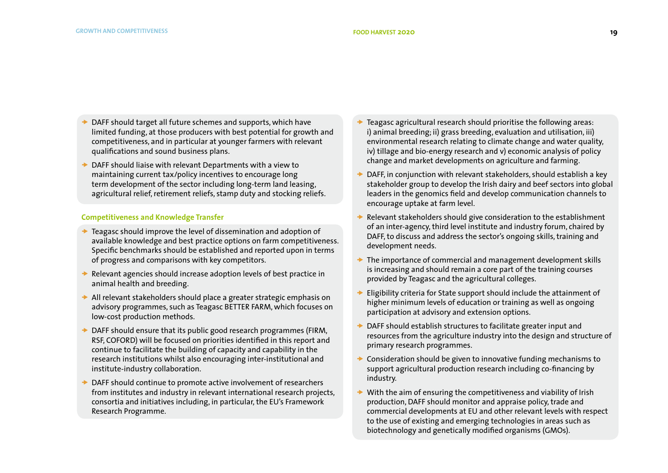- DAFF should target all future schemes and supports, which have limited funding, at those producers with best potential for growth and competitiveness, and in particular at younger farmers with relevant qualifications and sound business plans.
- DAFF should liaise with relevant Departments with a view to maintaining current tax/policy incentives to encourage long term development of the sector including long-term land leasing, agricultural relief, retirement reliefs, stamp duty and stocking reliefs.

### **Competitiveness and Knowledge Transfer**

- Teagasc should improve the level of dissemination and adoption of available knowledge and best practice options on farm competitiveness. Specific benchmarks should be established and reported upon in terms of progress and comparisons with key competitors.
- Relevant agencies should increase adoption levels of best practice in animal health and breeding.
- $\rightarrow$  All relevant stakeholders should place a greater strategic emphasis on advisory programmes, such as Teagasc BETTER FARM, which focuses on low-cost production methods.
- **► DAFF should ensure that its public good research programmes (FIRM,** RSF, COFORD) will be focused on priorities identified in this report and continue to facilitate the building of capacity and capability in the research institutions whilst also encouraging inter-institutional and institute-industry collaboration.
- DAFF should continue to promote active involvement of researchers from institutes and industry in relevant international research projects, consortia and initiatives including, in particular, the EU's Framework Research Programme.
- Teagasc agricultural research should prioritise the following areas: i) animal breeding; ii) grass breeding, evaluation and utilisation, iii) environmental research relating to climate change and water quality, iv) tillage and bio-energy research and v) economic analysis of policy change and market developments on agriculture and farming.
- DAFF, in conjunction with relevant stakeholders, should establish a key stakeholder group to develop the Irish dairy and beef sectors into global leaders in the genomics field and develop communication channels to encourage uptake at farm level.
- Relevant stakeholders should give consideration to the establishment of an inter-agency, third level institute and industry forum, chaired by DAFF, to discuss and address the sector's ongoing skills, training and development needs.
- $\rightarrow$  The importance of commercial and management development skills is increasing and should remain a core part of the training courses provided by Teagasc and the agricultural colleges.
- Eligibility criteria for State support should include the attainment of higher minimum levels of education or training as well as ongoing participation at advisory and extension options.
- DAFF should establish structures to facilitate greater input and resources from the agriculture industry into the design and structure of primary research programmes.
- $\rightarrow$  Consideration should be given to innovative funding mechanisms to support agricultural production research including co-financing by industry.
- With the aim of ensuring the competitiveness and viability of Irish production, DAFF should monitor and appraise policy, trade and commercial developments at EU and other relevant levels with respect to the use of existing and emerging technologies in areas such as biotechnology and genetically modified organisms (GMOs).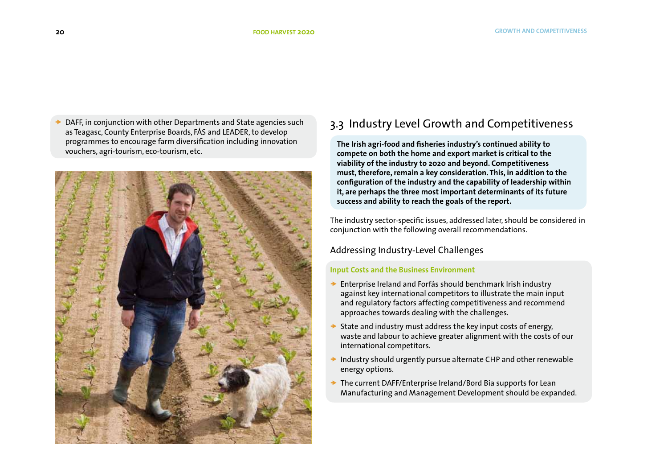DAFF, in conjunction with other Departments and State agencies such as Teagasc, County Enterprise Boards, FÁS and LEADER, to develop programmes to encourage farm diversification including innovation vouchers, agri-tourism, eco-tourism, etc.



# 3.3 Industry Level Growth and Competitiveness

**The Irish agri-food and fisheries industry's continued ability to compete on both the home and export market is critical to the viability of the industry to 2020 and beyond. Competitiveness must, therefore, remain a key consideration. This, in addition to the configuration of the industry and the capability of leadership within it, are perhaps the three most important determinants of its future success and ability to reach the goals of the report.** 

The industry sector-specific issues, addressed later, should be considered in conjunction with the following overall recommendations.

### Addressing Industry-Level Challenges

### **Input Costs and the Business Environment**

- ◆ Enterprise Ireland and Forfás should benchmark Irish industry against key international competitors to illustrate the main input and regulatory factors affecting competitiveness and recommend approaches towards dealing with the challenges.
- State and industry must address the key input costs of energy, waste and labour to achieve greater alignment with the costs of our international competitors.
- Industry should urgently pursue alternate CHP and other renewable energy options.
- $\rightarrow$  The current DAFF/Enterprise Ireland/Bord Bia supports for Lean Manufacturing and Management Development should be expanded.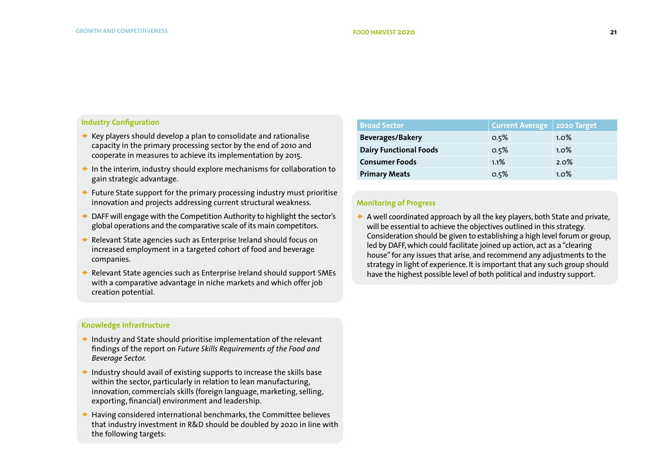### **Industry Configuration**

- $\rightarrow$  Key players should develop a plan to consolidate and rationalise capacity in the primary processing sector by the end of 2010 and cooperate in measures to achieve its implementation by 2015.
- $\rightarrow$  In the interim, industry should explore mechanisms for collaboration to gain strategic advantage.
- $\rightarrow$  Future State support for the primary processing industry must prioritise innovation and projects addressing current structural weakness.
- $\rightarrow$  DAFF will engage with the Competition Authority to highlight the sector's global operations and the comparative scale of its main competitors.
- Relevant State agencies such as Enterprise Ireland should focus on increased employment in a targeted cohort of food and beverage companies.
- Relevant State agencies such as Enterprise Ireland should support SMEs with a comparative advantage in niche markets and which offer job creation potential.

### **Knowledge Infrastructure**

- $\rightarrow$  Industry and State should prioritise implementation of the relevant findings of the report on *Future Skills Requirements of the Food and Beverage Sector.*
- $\rightarrow$  Industry should avail of existing supports to increase the skills base within the sector, particularly in relation to lean manufacturing, innovation, commercials skills (foreign language, marketing, selling, exporting, financial) environment and leadership.
- $\rightarrow$  Having considered international benchmarks, the Committee believes that industry investment in R&D should be doubled by 2020 in line with the following targets:

| <b>Broad Sector</b>           | Current Average   2020 Target |         |  |
|-------------------------------|-------------------------------|---------|--|
| <b>Beverages/Bakery</b>       | 0.5%                          | $1.0\%$ |  |
| <b>Dairy Functional Foods</b> | 0.5%                          | $1.0\%$ |  |
| <b>Consumer Foods</b>         | 1.1%                          | 2.0%    |  |
| <b>Primary Meats</b>          | 0.5%                          | $1.0\%$ |  |

### **Monitoring of Progress**

 $\rightarrow$  A well coordinated approach by all the key players, both State and private, will be essential to achieve the objectives outlined in this strategy. Consideration should be given to establishing a high level forum or group, led by DAFF, which could facilitate joined up action, act as a "clearing house" for any issues that arise, and recommend any adjustments to the strategy in light of experience. It is important that any such group should have the highest possible level of both political and industry support.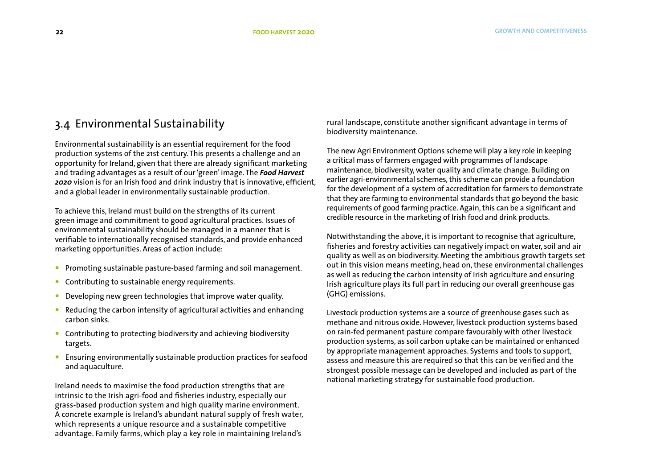# 3.4 Environmental Sustainability

Environmental sustainability is an essential requirement for the food production systems of the 21st century. This presents a challenge and an opportunity for Ireland, given that there are already significant marketing and trading advantages as a result of our 'green' image. The *Food Harvest 2020* vision is for an Irish food and drink industry that is innovative, efficient, and a global leader in environmentally sustainable production.

To achieve this, Ireland must build on the strengths of its current green image and commitment to good agricultural practices. Issues of environmental sustainability should be managed in a manner that is verifiable to internationally recognised standards, and provide enhanced marketing opportunities. Areas of action include:

- **Promoting sustainable pasture-based farming and soil management.**
- Contributing to sustainable energy requirements.
- Developing new green technologies that improve water quality.
- Reducing the carbon intensity of agricultural activities and enhancing carbon sinks.
- Contributing to protecting biodiversity and achieving biodiversity targets.
- Ensuring environmentally sustainable production practices for seafood and aquaculture.

Ireland needs to maximise the food production strengths that are intrinsic to the Irish agri-food and fisheries industry, especially our grass-based production system and high quality marine environment. A concrete example is Ireland's abundant natural supply of fresh water, which represents a unique resource and a sustainable competitive advantage. Family farms, which play a key role in maintaining Ireland's

rural landscape, constitute another significant advantage in terms of biodiversity maintenance.

The new Agri Environment Options scheme will play a key role in keeping a critical mass of farmers engaged with programmes of landscape maintenance, biodiversity, water quality and climate change. Building on earlier agri-environmental schemes, this scheme can provide a foundation for the development of a system of accreditation for farmers to demonstrate that they are farming to environmental standards that go beyond the basic requirements of good farming practice. Again, this can be a significant and credible resource in the marketing of Irish food and drink products.

Notwithstanding the above, it is important to recognise that agriculture, fisheries and forestry activities can negatively impact on water, soil and air quality as well as on biodiversity. Meeting the ambitious growth targets set out in this vision means meeting, head on, these environmental challenges as well as reducing the carbon intensity of Irish agriculture and ensuring Irish agriculture plays its full part in reducing our overall greenhouse gas (GHG) emissions.

Livestock production systems are a source of greenhouse gases such as methane and nitrous oxide. However, livestock production systems based on rain-fed permanent pasture compare favourably with other livestock production systems, as soil carbon uptake can be maintained or enhanced by appropriate management approaches. Systems and tools to support, assess and measure this are required so that this can be verified and the strongest possible message can be developed and included as part of the national marketing strategy for sustainable food production.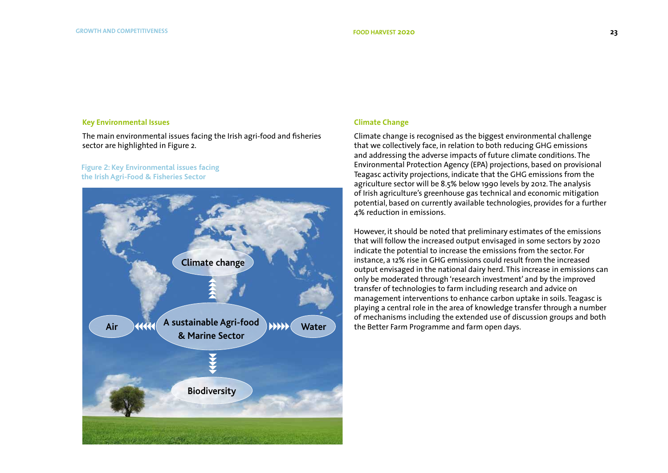### **Key Environmental Issues**

The main environmental issues facing the Irish agri-food and fisheries sector are highlighted in Figure 2.

### **Figure 2: Key Environmental issues facing the Irish Agri-Food & Fisheries Sector**



### **Climate Change**

Climate change is recognised as the biggest environmental challenge that we collectively face, in relation to both reducing GHG emissions and addressing the adverse impacts of future climate conditions. The Environmental Protection Agency (EPA) projections, based on provisional Teagasc activity projections, indicate that the GHG emissions from the agriculture sector will be 8.5% below 1990 levels by 2012. The analysis of Irish agriculture's greenhouse gas technical and economic mitigation potential, based on currently available technologies, provides for a further 4% reduction in emissions.

However, it should be noted that preliminary estimates of the emissions that will follow the increased output envisaged in some sectors by 2020 indicate the potential to increase the emissions from the sector. For instance, a 12% rise in GHG emissions could result from the increased output envisaged in the national dairy herd. This increase in emissions can only be moderated through 'research investment' and by the improved transfer of technologies to farm including research and advice on management interventions to enhance carbon uptake in soils. Teagasc is playing a central role in the area of knowledge transfer through a number of mechanisms including the extended use of discussion groups and both the Better Farm Programme and farm open days.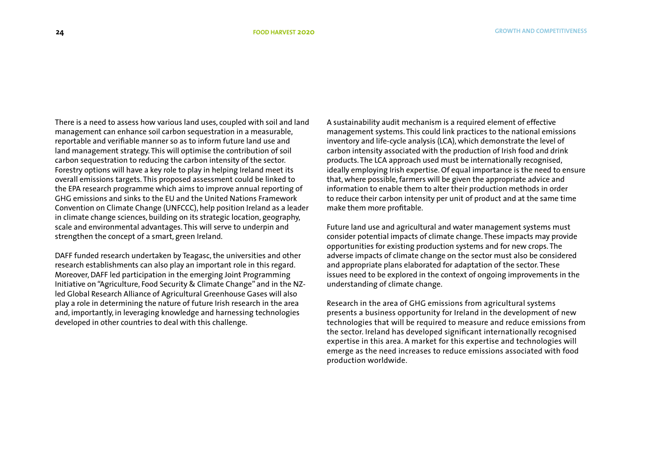There is a need to assess how various land uses, coupled with soil and land management can enhance soil carbon sequestration in a measurable, reportable and verifiable manner so as to inform future land use and land management strategy. This will optimise the contribution of soil carbon sequestration to reducing the carbon intensity of the sector. Forestry options will have a key role to play in helping Ireland meet its overall emissions targets. This proposed assessment could be linked to the EPA research programme which aims to improve annual reporting of GHG emissions and sinks to the EU and the United Nations Framework Convention on Climate Change (UNFCCC), help position Ireland as a leader in climate change sciences, building on its strategic location, geography, scale and environmental advantages. This will serve to underpin and strengthen the concept of a smart, green Ireland.

DAFF funded research undertaken by Teagasc, the universities and other research establishments can also play an important role in this regard. Moreover, DAFF led participation in the emerging Joint Programming Initiative on "Agriculture, Food Security & Climate Change" and in the NZled Global Research Alliance of Agricultural Greenhouse Gases will also play a role in determining the nature of future Irish research in the area and, importantly, in leveraging knowledge and harnessing technologies developed in other countries to deal with this challenge.

A sustainability audit mechanism is a required element of effective management systems. This could link practices to the national emissions inventory and life-cycle analysis (LCA), which demonstrate the level of carbon intensity associated with the production of Irish food and drink products. The LCA approach used must be internationally recognised, ideally employing Irish expertise. Of equal importance is the need to ensure that, where possible, farmers will be given the appropriate advice and information to enable them to alter their production methods in order to reduce their carbon intensity per unit of product and at the same time make them more profitable.

Future land use and agricultural and water management systems must consider potential impacts of climate change. These impacts may provide opportunities for existing production systems and for new crops. The adverse impacts of climate change on the sector must also be considered and appropriate plans elaborated for adaptation of the sector. These issues need to be explored in the context of ongoing improvements in the understanding of climate change.

Research in the area of GHG emissions from agricultural systems presents a business opportunity for Ireland in the development of new technologies that will be required to measure and reduce emissions from the sector. Ireland has developed significant internationally recognised expertise in this area. A market for this expertise and technologies will emerge as the need increases to reduce emissions associated with food production worldwide.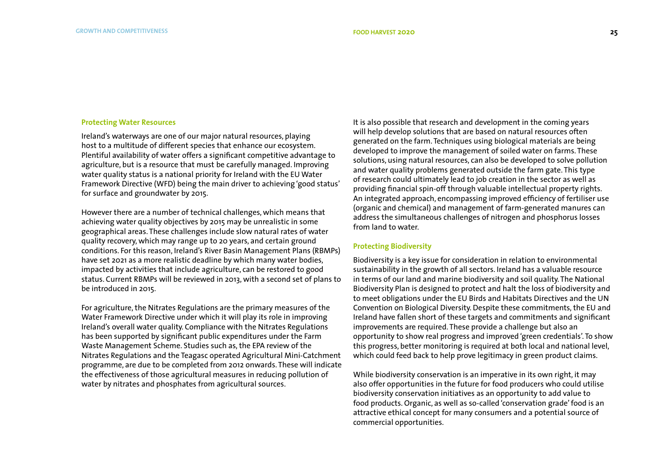#### **Protecting Water Resources**

Ireland's waterways are one of our major natural resources, playing host to a multitude of different species that enhance our ecosystem. Plentiful availability of water offers a significant competitive advantage to agriculture, but is a resource that must be carefully managed. Improving water quality status is a national priority for Ireland with the EU Water Framework Directive (WFD) being the main driver to achieving 'good status' for surface and groundwater by 2015.

However there are a number of technical challenges, which means that achieving water quality objectives by 2015 may be unrealistic in some geographical areas. These challenges include slow natural rates of water quality recovery, which may range up to 20 years, and certain ground conditions. For this reason, Ireland's River Basin Management Plans (RBMPs) have set 2021 as a more realistic deadline by which many water bodies, impacted by activities that include agriculture, can be restored to good status. Current RBMPs will be reviewed in 2013, with a second set of plans to be introduced in 2015.

For agriculture, the Nitrates Regulations are the primary measures of the Water Framework Directive under which it will play its role in improving Ireland's overall water quality. Compliance with the Nitrates Regulations has been supported by significant public expenditures under the Farm Waste Management Scheme. Studies such as, the EPA review of the Nitrates Regulations and the Teagasc operated Agricultural Mini-Catchment programme, are due to be completed from 2012 onwards. These will indicate the effectiveness of those agricultural measures in reducing pollution of water by nitrates and phosphates from agricultural sources.

It is also possible that research and development in the coming years will help develop solutions that are based on natural resources often generated on the farm. Techniques using biological materials are being developed to improve the management of soiled water on farms. These solutions, using natural resources, can also be developed to solve pollution and water quality problems generated outside the farm gate. This type of research could ultimately lead to job creation in the sector as well as providing financial spin-off through valuable intellectual property rights. An integrated approach, encompassing improved efficiency of fertiliser use (organic and chemical) and management of farm-generated manures can address the simultaneous challenges of nitrogen and phosphorus losses from land to water.

### **Protecting Biodiversity**

Biodiversity is a key issue for consideration in relation to environmental sustainability in the growth of all sectors. Ireland has a valuable resource in terms of our land and marine biodiversity and soil quality. The National Biodiversity Plan is designed to protect and halt the loss of biodiversity and to meet obligations under the EU Birds and Habitats Directives and the UN Convention on Biological Diversity. Despite these commitments, the EU and Ireland have fallen short of these targets and commitments and significant improvements are required. These provide a challenge but also an opportunity to show real progress and improved 'green credentials'. To show this progress, better monitoring is required at both local and national level, which could feed back to help prove legitimacy in green product claims.

While biodiversity conservation is an imperative in its own right, it may also offer opportunities in the future for food producers who could utilise biodiversity conservation initiatives as an opportunity to add value to food products. Organic, as well as so-called 'conservation grade' food is an attractive ethical concept for many consumers and a potential source of commercial opportunities.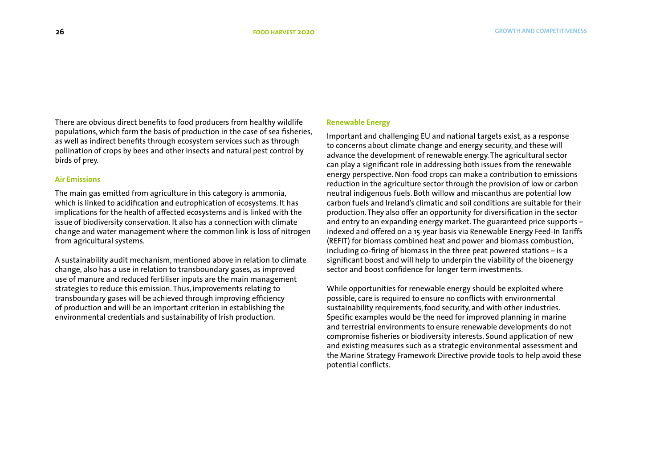There are obvious direct benefits to food producers from healthy wildlife populations, which form the basis of production in the case of sea fisheries, as well as indirect benefits through ecosystem services such as through pollination of crops by bees and other insects and natural pest control by birds of prey.

### **Air Emissions**

The main gas emitted from agriculture in this category is ammonia, which is linked to acidification and eutrophication of ecosystems. It has implications for the health of affected ecosystems and is linked with the issue of biodiversity conservation. It also has a connection with climate change and water management where the common link is loss of nitrogen from agricultural systems.

A sustainability audit mechanism, mentioned above in relation to climate change, also has a use in relation to transboundary gases, as improved use of manure and reduced fertiliser inputs are the main management strategies to reduce this emission. Thus, improvements relating to transboundary gases will be achieved through improving efficiency of production and will be an important criterion in establishing the environmental credentials and sustainability of Irish production.

### **Renewable Energy**

Important and challenging EU and national targets exist, as a response to concerns about climate change and energy security, and these will advance the development of renewable energy. The agricultural sector can play a significant role in addressing both issues from the renewable energy perspective. Non-food crops can make a contribution to emissions reduction in the agriculture sector through the provision of low or carbon neutral indigenous fuels. Both willow and miscanthus are potential low carbon fuels and Ireland's climatic and soil conditions are suitable for their production. They also offer an opportunity for diversification in the sector and entry to an expanding energy market. The guaranteed price supports – indexed and offered on a 15-year basis via Renewable Energy Feed-In Tariffs (REFIT) for biomass combined heat and power and biomass combustion, including co-firing of biomass in the three peat powered stations – is a significant boost and will help to underpin the viability of the bioenergy sector and boost confidence for longer term investments.

While opportunities for renewable energy should be exploited where possible, care is required to ensure no conflicts with environmental sustainability requirements, food security, and with other industries. Specific examples would be the need for improved planning in marine and terrestrial environments to ensure renewable developments do not compromise fisheries or biodiversity interests. Sound application of new and existing measures such as a strategic environmental assessment and the Marine Strategy Framework Directive provide tools to help avoid these potential conflicts.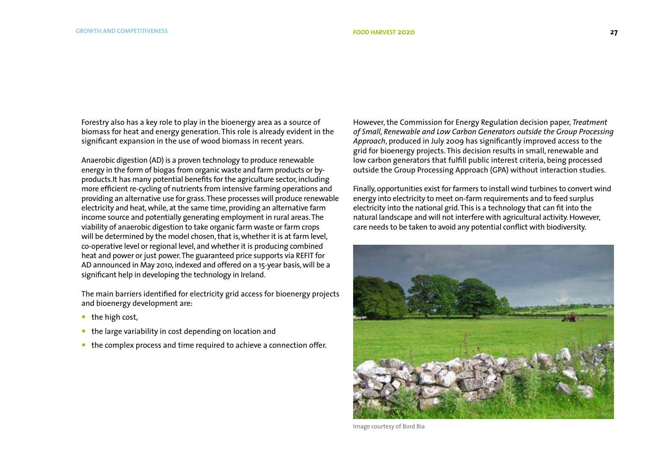Forestry also has a key role to play in the bioenergy area as a source of biomass for heat and energy generation. This role is already evident in the significant expansion in the use of wood biomass in recent years.

Anaerobic digestion (AD) is a proven technology to produce renewable energy in the form of biogas from organic waste and farm products or byproducts.It has many potential benefits for the agriculture sector, including more efficient re-cycling of nutrients from intensive farming operations and providing an alternative use for grass. These processes will produce renewable electricity and heat, while, at the same time, providing an alternative farm income source and potentially generating employment in rural areas. The viability of anaerobic digestion to take organic farm waste or farm crops will be determined by the model chosen, that is, whether it is at farm level, co-operative level or regional level, and whether it is producing combined heat and power or just power. The guaranteed price supports via REFIT for AD announced in May 2010, indexed and offered on a 15-year basis, will be a significant help in developing the technology in Ireland.

The main barriers identified for electricity grid access for bioenergy projects and bioenergy development are:

- $\bullet$  the high cost,
- the large variability in cost depending on location and
- the complex process and time required to achieve a connection offer.

However, the Commission for Energy Regulation decision paper, *Treatment of Small, Renewable and Low Carbon Generators outside the Group Processing Approach*, produced in July 2009 has significantly improved access to the grid for bioenergy projects. This decision results in small, renewable and low carbon generators that fulfill public interest criteria, being processed outside the Group Processing Approach (GPA) without interaction studies.

Finally, opportunities exist for farmers to install wind turbines to convert wind energy into electricity to meet on-farm requirements and to feed surplus electricity into the national grid. This is a technology that can fit into the natural landscape and will not interfere with agricultural activity. However, care needs to be taken to avoid any potential conflict with biodiversity.



Image courtesy of Bord Bia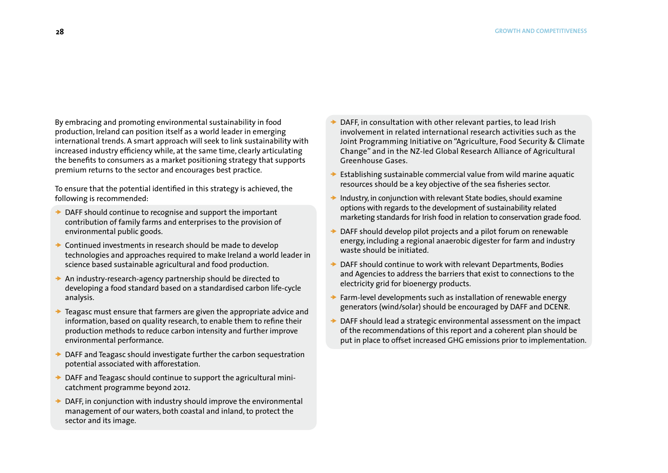By embracing and promoting environmental sustainability in food production, Ireland can position itself as a world leader in emerging international trends. A smart approach will seek to link sustainability with increased industry efficiency while, at the same time, clearly articulating the benefits to consumers as a market positioning strategy that supports premium returns to the sector and encourages best practice.

To ensure that the potential identified in this strategy is achieved, the following is recommended:

- DAFF should continue to recognise and support the important contribution of family farms and enterprises to the provision of environmental public goods.
- $\rightarrow$  Continued investments in research should be made to develop technologies and approaches required to make Ireland a world leader in science based sustainable agricultural and food production.
- $\rightarrow$  An industry-research-agency partnership should be directed to developing a food standard based on a standardised carbon life-cycle analysis.
- Teagasc must ensure that farmers are given the appropriate advice and information, based on quality research, to enable them to refine their production methods to reduce carbon intensity and further improve environmental performance.
- DAFF and Teagasc should investigate further the carbon sequestration potential associated with afforestation.
- DAFF and Teagasc should continue to support the agricultural minicatchment programme beyond 2012.
- DAFF, in conjunction with industry should improve the environmental management of our waters, both coastal and inland, to protect the sector and its image.
- DAFF, in consultation with other relevant parties, to lead Irish involvement in related international research activities such as the Joint Programming Initiative on "Agriculture, Food Security & Climate Change" and in the NZ-led Global Research Alliance of Agricultural Greenhouse Gases.
- Establishing sustainable commercial value from wild marine aquatic resources should be a key objective of the sea fisheries sector.
- Industry, in conjunction with relevant State bodies, should examine options with regards to the development of sustainability related marketing standards for Irish food in relation to conservation grade food.
- DAFF should develop pilot projects and a pilot forum on renewable energy, including a regional anaerobic digester for farm and industry waste should be initiated.
- DAFF should continue to work with relevant Departments, Bodies and Agencies to address the barriers that exist to connections to the electricity grid for bioenergy products.
- Farm-level developments such as installation of renewable energy generators (wind/solar) should be encouraged by DAFF and DCENR.
- DAFF should lead a strategic environmental assessment on the impact of the recommendations of this report and a coherent plan should be put in place to offset increased GHG emissions prior to implementation.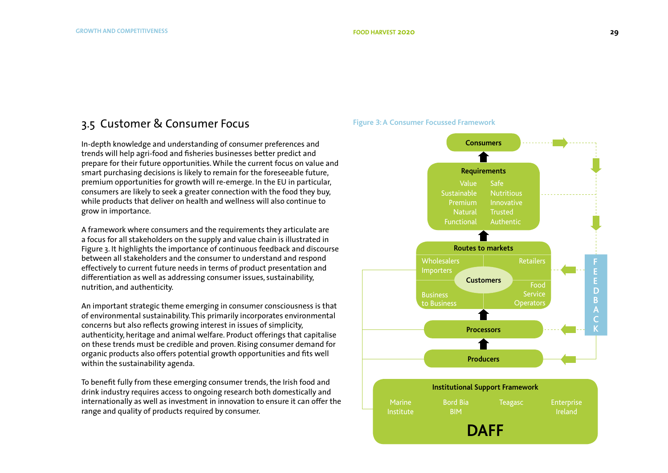### 3.5 Customer & Consumer Focus

In-depth knowledge and understanding of consumer preferences and trends will help agri-food and fisheries businesses better predict and prepare for their future opportunities. While the current focus on value and smart purchasing decisions is likely to remain for the foreseeable future, premium opportunities for growth will re-emerge. In the EU in particular, consumers are likely to seek a greater connection with the food they buy, while products that deliver on health and wellness will also continue to grow in importance.

A framework where consumers and the requirements they articulate are a focus for all stakeholders on the supply and value chain is illustrated in Figure 3. It highlights the importance of continuous feedback and discourse between all stakeholders and the consumer to understand and respond effectively to current future needs in terms of product presentation and differentiation as well as addressing consumer issues, sustainability, nutrition, and authenticity.

An important strategic theme emerging in consumer consciousness is that of environmental sustainability. This primarily incorporates environmental concerns but also reflects growing interest in issues of simplicity, authenticity, heritage and animal welfare. Product offerings that capitalise on these trends must be credible and proven. Rising consumer demand for organic products also offers potential growth opportunities and fits well within the sustainability agenda.

To benefit fully from these emerging consumer trends, the Irish food and drink industry requires access to ongoing research both domestically and internationally as well as investment in innovation to ensure it can offer the range and quality of products required by consumer.

### **Figure 3:A Consumer Focussed Framework**

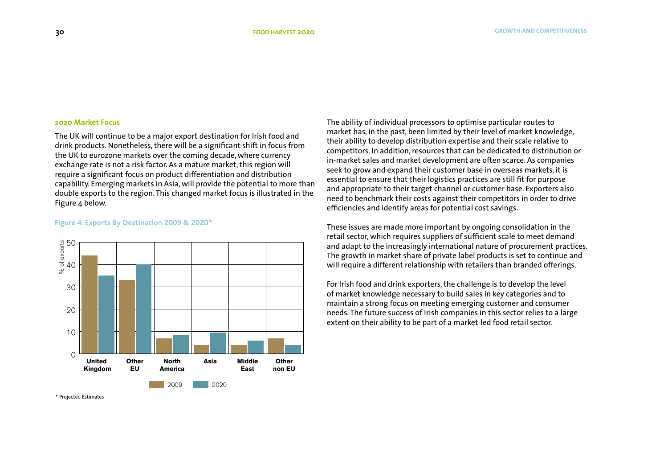### **2020 Market Focus**

The UK will continue to be a major export destination for Irish food and drink products. Nonetheless, there will be a significant shift in focus from the UK to eurozone markets over the coming decade, where currency exchange rate is not a risk factor. As a mature market, this region will require a significant focus on product differentiation and distribution capability. Emerging markets in Asia, will provide the potential to more than double exports to the region. This changed market focus is illustrated in the Figure 4 below.

 $\cap$ 10 20 30  $\frac{4}{3}$ 50 **United Kingdom Other EU North America Asia Middle East Other non EU** 2009 2020 % of exports

### **Figure 4: Exports By Destination 2009 & 2020\***

The ability of individual processors to optimise particular routes to market has, in the past, been limited by their level of market knowledge, their ability to develop distribution expertise and their scale relative to competitors. In addition, resources that can be dedicated to distribution or in-market sales and market development are often scarce. As companies seek to grow and expand their customer base in overseas markets, it is essential to ensure that their logistics practices are still fit for purpose and appropriate to their target channel or customer base. Exporters also need to benchmark their costs against their competitors in order to drive efficiencies and identify areas for potential cost savings.

These issues are made more important by ongoing consolidation in the retail sector, which requires suppliers of sufficient scale to meet demand and adapt to the increasingly international nature of procurement practices. The growth in market share of private label products is set to continue and will require a different relationship with retailers than branded offerings.

For Irish food and drink exporters, the challenge is to develop the level of market knowledge necessary to build sales in key categories and to maintain a strong focus on meeting emerging customer and consumer needs. The future success of Irish companies in this sector relies to a large extent on their ability to be part of a market-led food retail sector.

\* Projected Estimates

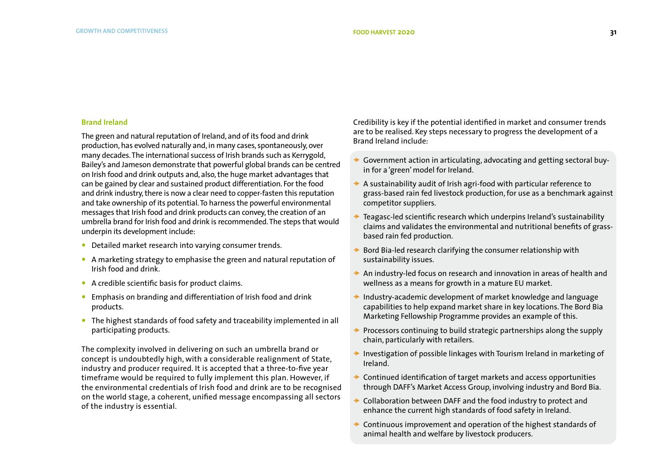### **Brand Ireland**

The green and natural reputation of Ireland, and of its food and drink production, has evolved naturally and, in many cases, spontaneously, over many decades. The international success of Irish brands such as Kerrygold, Bailey's and Jameson demonstrate that powerful global brands can be centred on Irish food and drink outputs and, also, the huge market advantages that can be gained by clear and sustained product differentiation. For the food and drink industry, there is now a clear need to copper-fasten this reputation and take ownership of its potential. To harness the powerful environmental messages that Irish food and drink products can convey, the creation of an umbrella brand for Irish food and drink is recommended. The steps that would underpin its development include:

- Detailed market research into varying consumer trends.
- A marketing strategy to emphasise the green and natural reputation of Irish food and drink.
- A credible scientific basis for product claims.
- **•** Emphasis on branding and differentiation of Irish food and drink products.
- The highest standards of food safety and traceability implemented in all participating products.

The complexity involved in delivering on such an umbrella brand or concept is undoubtedly high, with a considerable realignment of State, industry and producer required. It is accepted that a three-to-five year timeframe would be required to fully implement this plan. However, if the environmental credentials of Irish food and drink are to be recognised on the world stage, a coherent, unified message encompassing all sectors of the industry is essential.

Credibility is key if the potential identified in market and consumer trends are to be realised. Key steps necessary to progress the development of a Brand Ireland include:

- Government action in articulating, advocating and getting sectoral buyin for a 'green' model for Ireland.
- $\rightarrow$  A sustainability audit of Irish agri-food with particular reference to grass-based rain fed livestock production, for use as a benchmark against competitor suppliers.
- Teagasc-led scientific research which underpins Ireland's sustainability claims and validates the environmental and nutritional benefits of grassbased rain fed production.
- Bord Bia-led research clarifying the consumer relationship with sustainability issues.
- An industry-led focus on research and innovation in areas of health and wellness as a means for growth in a mature EU market.
- $\rightarrow$  Industry-academic development of market knowledge and language capabilities to help expand market share in key locations. The Bord Bia Marketing Fellowship Programme provides an example of this.
- Processors continuing to build strategic partnerships along the supply chain, particularly with retailers.
- $\rightarrow$  Investigation of possible linkages with Tourism Ireland in marketing of Ireland.
- Continued identification of target markets and access opportunities through DAFF's Market Access Group, involving industry and Bord Bia.
- Collaboration between DAFF and the food industry to protect and enhance the current high standards of food safety in Ireland.
- Continuous improvement and operation of the highest standards of animal health and welfare by livestock producers.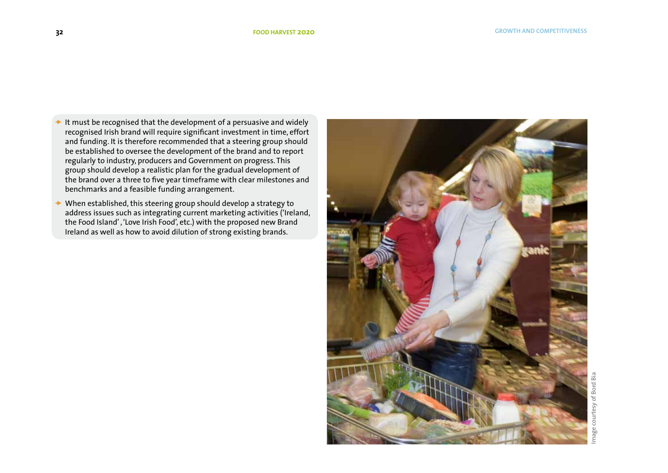- It must be recognised that the development of a persuasive and widely recognised Irish brand will require significant investment in time, effort and funding. It is therefore recommended that a steering group should be established to oversee the development of the brand and to report regularly to industry, producers and Government on progress. This group should develop a realistic plan for the gradual development of the brand over a three to five year timeframe with clear milestones and benchmarks and a feasible funding arrangement.
- When established, this steering group should develop a strategy to address issues such as integrating current marketing activities ('Ireland, the Food Island' , 'Love Irish Food', etc.) with the proposed new Brand Ireland as well as how to avoid dilution of strong existing brands.

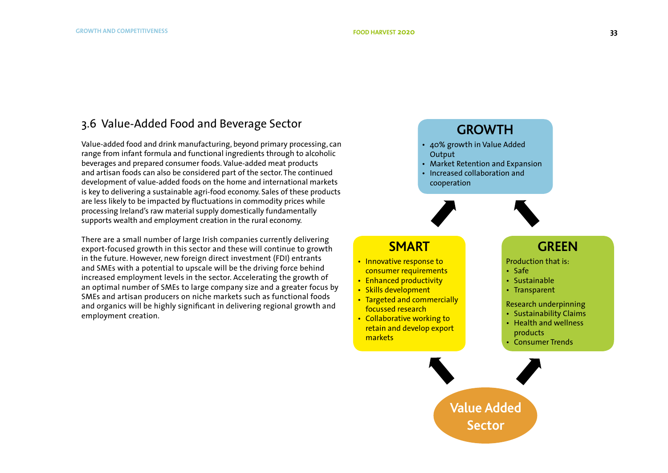### 3.6 Value-Added Food and Beverage Sector

Value-added food and drink manufacturing, beyond primary processing, can range from infant formula and functional ingredients through to alcoholic beverages and prepared consumer foods. Value-added meat products and artisan foods can also be considered part of the sector. The continued development of value-added foods on the home and international markets is key to delivering a sustainable agri-food economy. Sales of these products are less likely to be impacted by fluctuations in commodity prices while processing Ireland's raw material supply domestically fundamentally supports wealth and employment creation in the rural economy.

There are a small number of large Irish companies currently delivering export-focused growth in this sector and these will continue to growth in the future. However, new foreign direct investment (FDI) entrants and SMEs with a potential to upscale will be the driving force behind increased employment levels in the sector. Accelerating the growth of an optimal number of SMEs to large company size and a greater focus by SMEs and artisan producers on niche markets such as functional foods and organics will be highly significant in delivering regional growth and employment creation.

# **GROWTH**

- 40% growth in Value Added **Output**
- Market Retention and Expansion
- Increased collaboration and cooperation





# **SMART**

- Innovative response to consumer requirements
- Enhanced productivity
- Skills development
- Targeted and commercially focussed research
- Collaborative working to retain and develop export markets

# **GREEN**

Production that is:

- Safe
- Sustainable
- Transparent

Research underpinning

- Sustainability Claims
- Health and wellness products
- Consumer Trends
- **Value Added Sector**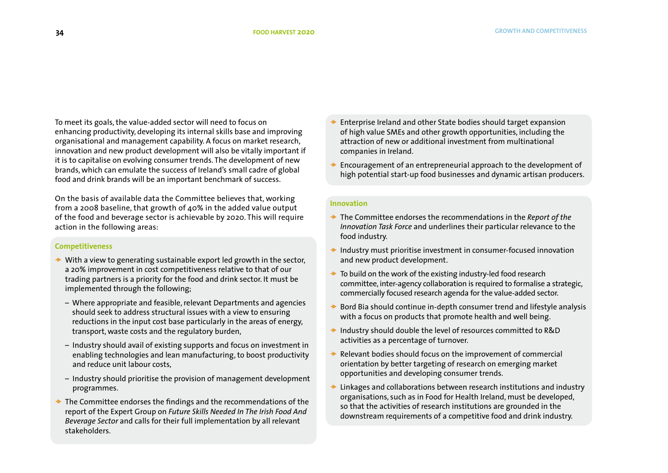To meet its goals, the value-added sector will need to focus on enhancing productivity, developing its internal skills base and improving organisational and management capability. A focus on market research, innovation and new product development will also be vitally important if it is to capitalise on evolving consumer trends. The development of new brands, which can emulate the success of Ireland's small cadre of global food and drink brands will be an important benchmark of success.

On the basis of available data the Committee believes that, working from a 2008 baseline, that growth of 40% in the added value output of the food and beverage sector is achievable by 2020. This will require action in the following areas:

### **Competitiveness**

- $\rightarrow$  With a view to generating sustainable export led growth in the sector, a 20% improvement in cost competitiveness relative to that of our trading partners is a priority for the food and drink sector. It must be implemented through the following;
	- Where appropriate and feasible, relevant Departments and agencies should seek to address structural issues with a view to ensuring reductions in the input cost base particularly in the areas of energy, transport, waste costs and the regulatory burden,
	- Industry should avail of existing supports and focus on investment in enabling technologies and lean manufacturing, to boost productivity and reduce unit labour costs,
	- Industry should prioritise the provision of management development programmes.
- $\rightarrow$  The Committee endorses the findings and the recommendations of the report of the Expert Group on *Future Skills Needed In The Irish Food And Beverage Sector* and calls for their full implementation by all relevant stakeholders.
- Enterprise Ireland and other State bodies should target expansion of high value SMEs and other growth opportunities, including the attraction of new or additional investment from multinational companies in Ireland.
- Encouragement of an entrepreneurial approach to the development of high potential start-up food businesses and dynamic artisan producers.

### **Innovation**

- The Committee endorses the recommendations in the *Report of the Innovation Task Force* and underlines their particular relevance to the food industry.
- $\rightarrow$  Industry must prioritise investment in consumer-focused innovation and new product development.
- $\rightarrow$  To build on the work of the existing industry-led food research committee, inter-agency collaboration is required to formalise a strategic, commercially focused research agenda for the value-added sector.
- Bord Bia should continue in-depth consumer trend and lifestyle analysis with a focus on products that promote health and well being.
- → Industry should double the level of resources committed to R&D activities as a percentage of turnover.
- Relevant bodies should focus on the improvement of commercial orientation by better targeting of research on emerging market opportunities and developing consumer trends.
- Linkages and collaborations between research institutions and industry organisations, such as in Food for Health Ireland, must be developed, so that the activities of research institutions are grounded in the downstream requirements of a competitive food and drink industry.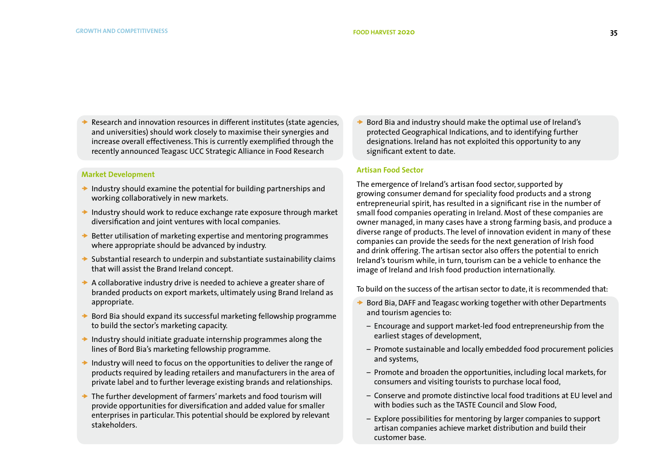Research and innovation resources in different institutes (state agencies, and universities) should work closely to maximise their synergies and increase overall effectiveness. This is currently exemplified through the recently announced Teagasc UCC Strategic Alliance in Food Research

### **Market Development**

- $\rightarrow$  Industry should examine the potential for building partnerships and working collaboratively in new markets.
- $\rightarrow$  Industry should work to reduce exchange rate exposure through market diversification and joint ventures with local companies.
- $\rightarrow$  Better utilisation of marketing expertise and mentoring programmes where appropriate should be advanced by industry.
- $\rightarrow$  Substantial research to underpin and substantiate sustainability claims that will assist the Brand Ireland concept.
- $\rightarrow$  A collaborative industry drive is needed to achieve a greater share of branded products on export markets, ultimately using Brand Ireland as appropriate.
- $\rightarrow$  Bord Bia should expand its successful marketing fellowship programme to build the sector's marketing capacity.
- $\rightarrow$  Industry should initiate graduate internship programmes along the lines of Bord Bia's marketing fellowship programme.
- $\rightarrow$  Industry will need to focus on the opportunities to deliver the range of products required by leading retailers and manufacturers in the area of private label and to further leverage existing brands and relationships.
- $\rightarrow$  The further development of farmers' markets and food tourism will provide opportunities for diversification and added value for smaller enterprises in particular. This potential should be explored by relevant stakeholders.

 Bord Bia and industry should make the optimal use of Ireland's protected Geographical Indications, and to identifying further designations. Ireland has not exploited this opportunity to any significant extent to date.

### **Artisan Food Sector**

The emergence of Ireland's artisan food sector, supported by growing consumer demand for speciality food products and a strong entrepreneurial spirit, has resulted in a significant rise in the number of small food companies operating in Ireland. Most of these companies are owner managed, in many cases have a strong farming basis, and produce a diverse range of products. The level of innovation evident in many of these companies can provide the seeds for the next generation of Irish food and drink offering. The artisan sector also offers the potential to enrich Ireland's tourism while, in turn, tourism can be a vehicle to enhance the image of Ireland and Irish food production internationally.

To build on the success of the artisan sector to date, it is recommended that:

- Bord Bia, DAFF and Teagasc working together with other Departments and tourism agencies to:
	- Encourage and support market-led food entrepreneurship from the earliest stages of development,
	- Promote sustainable and locally embedded food procurement policies and systems,
	- Promote and broaden the opportunities, including local markets, for consumers and visiting tourists to purchase local food,
	- Conserve and promote distinctive local food traditions at EU level and with bodies such as the TASTE Council and Slow Food,
	- Explore possibilities for mentoring by larger companies to support artisan companies achieve market distribution and build their customer base.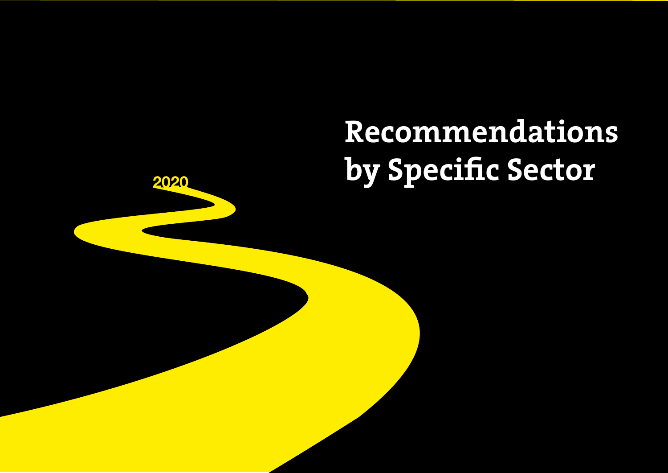# **Recommendations by Specific Sector**

2020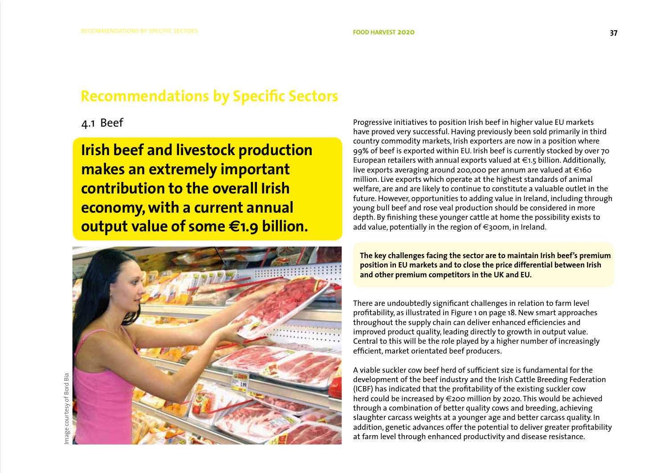# **Recommendations by Specific Sectors**

# 4.1 Beef

**Irish beef and livestock production makes an extremely important contribution to the overall Irish economy, with a current annual output value of some €1.9 billion.** 



Progressive initiatives to position Irish beef in higher value EU markets have proved very successful. Having previously been sold primarily in third country commodity markets, Irish exporters are now in a position where 99% of beef is exported within EU. Irish beef is currently stocked by over 70 European retailers with annual exports valued at  $\in$ 1.5 billion. Additionally, live exports averaging around 200,000 per annum are valued at  $\in$ 160 million. Live exports which operate at the highest standards of animal welfare, are and are likely to continue to constitute a valuable outlet in the future. However, opportunities to adding value in Ireland, including through young bull beef and rose veal production should be considered in more depth. By finishing these younger cattle at home the possibility exists to add value, potentially in the region of  $\epsilon$ 300m, in Ireland.

**The key challenges facing the sector are to maintain Irish beef's premium position in EU markets and to close the price differential between Irish and other premium competitors in the UK and EU.** 

There are undoubtedly significant challenges in relation to farm level profitability, as illustrated in Figure 1 on page 18. New smart approaches throughout the supply chain can deliver enhanced efficiencies and improved product quality, leading directly to growth in output value. Central to this will be the role played by a higher number of increasingly efficient, market orientated beef producers.

A viable suckler cow beef herd of sufficient size is fundamental for the development of the beef industry and the Irish Cattle Breeding Federation (ICBF) has indicated that the profitability of the existing suckler cow herd could be increased by €200 million by 2020. This would be achieved through a combination of better quality cows and breeding, achieving slaughter carcass weights at a younger age and better carcass quality. In addition, genetic advances offer the potential to deliver greater profitability at farm level through enhanced productivity and disease resistance.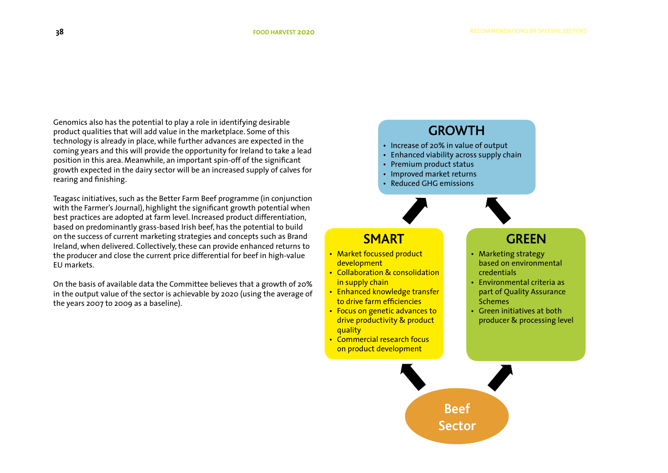Genomics also has the potential to play a role in identifying desirable product qualities that will add value in the marketplace. Some of this technology is already in place, while further advances are expected in the coming years and this will provide the opportunity for Ireland to take a lead position in this area. Meanwhile, an important spin-off of the significant growth expected in the dairy sector will be an increased supply of calves for rearing and finishing.

Teagasc initiatives, such as the Better Farm Beef programme (in conjunction with the Farmer's Journal), highlight the significant growth potential when best practices are adopted at farm level. Increased product differentiation, based on predominantly grass-based Irish beef, has the potential to build on the success of current marketing strategies and concepts such as Brand Ireland, when delivered. Collectively, these can provide enhanced returns to the producer and close the current price differential for beef in high-value EU markets.

On the basis of available data the Committee believes that a growth of 20% in the output value of the sector is achievable by 2020 (using the average of the years 2007 to 2009 as a baseline).

# **GROWTH**

**Beef**

**Sector**

- Increase of 20% in value of output
- Enhanced viability across supply chain
- Premium product status
- Improved market returns
- Reduced GHG emissions



# **SMART**

- Market focussed product development
- Collaboration & consolidation in supply chain
- Enhanced knowledge transfer to drive farm efficiencies
- Focus on genetic advances to drive productivity & product **quality**
- Commercial research focus on product development

# **GREEN**

- Marketing strategy based on environmental credentials
- Environmental criteria as part of Quality Assurance Schemes
- Green initiatives at both producer & processing level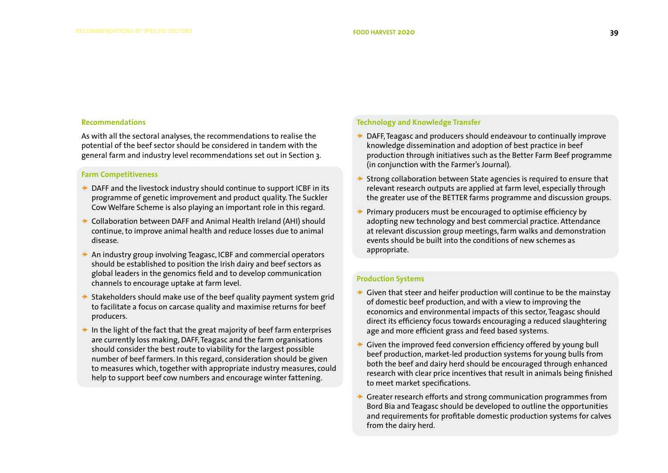#### **Recommendations**

As with all the sectoral analyses, the recommendations to realise the potential of the beef sector should be considered in tandem with the general farm and industry level recommendations set out in Section 3.

### **Farm Competitiveness**

- $\rightarrow$  DAFF and the livestock industry should continue to support ICBF in its programme of genetic improvement and product quality. The Suckler Cow Welfare Scheme is also playing an important role in this regard.
- ◆ Collaboration between DAFF and Animal Health Ireland (AHI) should continue, to improve animal health and reduce losses due to animal disease.
- $\rightarrow$  An industry group involving Teagasc, ICBF and commercial operators should be established to position the Irish dairy and beef sectors as global leaders in the genomics field and to develop communication channels to encourage uptake at farm level.
- $\rightarrow$  Stakeholders should make use of the beef quality payment system grid to facilitate a focus on carcase quality and maximise returns for beef producers.
- In the light of the fact that the great majority of beef farm enterprises are currently loss making, DAFF, Teagasc and the farm organisations should consider the best route to viability for the largest possible number of beef farmers. In this regard, consideration should be given to measures which, together with appropriate industry measures, could help to support beef cow numbers and encourage winter fattening.

### **Technology and Knowledge Transfer**

- DAFF, Teagasc and producers should endeavour to continually improve knowledge dissemination and adoption of best practice in beef production through initiatives such as the Better Farm Beef programme (in conjunction with the Farmer's Journal).
- Strong collaboration between State agencies is required to ensure that relevant research outputs are applied at farm level, especially through the greater use of the BETTER farms programme and discussion groups.
- Primary producers must be encouraged to optimise efficiency by adopting new technology and best commercial practice. Attendance at relevant discussion group meetings, farm walks and demonstration events should be built into the conditions of new schemes as appropriate.

### **Production Systems**

- Given that steer and heifer production will continue to be the mainstay of domestic beef production, and with a view to improving the economics and environmental impacts of this sector, Teagasc should direct its efficiency focus towards encouraging a reduced slaughtering age and more efficient grass and feed based systems.
- Given the improved feed conversion efficiency offered by young bull beef production, market-led production systems for young bulls from both the beef and dairy herd should be encouraged through enhanced research with clear price incentives that result in animals being finished to meet market specifications.
- Greater research efforts and strong communication programmes from Bord Bia and Teagasc should be developed to outline the opportunities and requirements for profitable domestic production systems for calves from the dairy herd.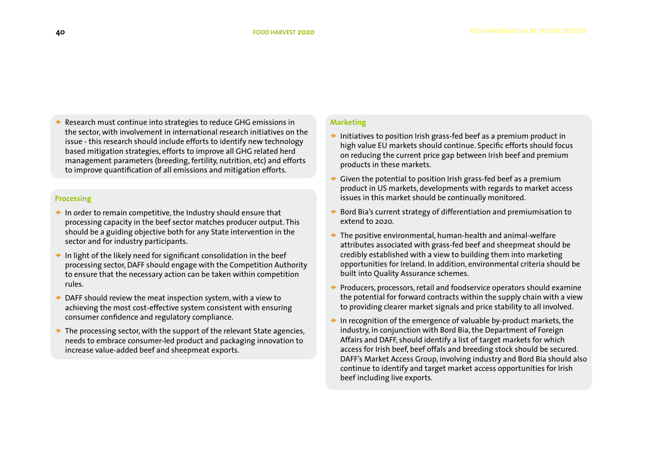Research must continue into strategies to reduce GHG emissions in the sector, with involvement in international research initiatives on the issue - this research should include efforts to identify new technology based mitigation strategies, efforts to improve all GHG related herd management parameters (breeding, fertility, nutrition, etc) and efforts to improve quantification of all emissions and mitigation efforts.

### **Processing**

- $\rightarrow$  In order to remain competitive, the Industry should ensure that processing capacity in the beef sector matches producer output. This should be a guiding objective both for any State intervention in the sector and for industry participants.
- $\rightarrow$  In light of the likely need for significant consolidation in the beef processing sector, DAFF should engage with the Competition Authority to ensure that the necessary action can be taken within competition rules.
- DAFF should review the meat inspection system, with a view to achieving the most cost-effective system consistent with ensuring consumer confidence and regulatory compliance.
- $\rightarrow$  The processing sector, with the support of the relevant State agencies, needs to embrace consumer-led product and packaging innovation to increase value-added beef and sheepmeat exports.

### **Marketing**

- $\rightarrow$  Initiatives to position Irish grass-fed beef as a premium product in high value EU markets should continue. Specific efforts should focus on reducing the current price gap between Irish beef and premium products in these markets.
- Given the potential to position Irish grass-fed beef as a premium product in US markets, developments with regards to market access issues in this market should be continually monitored.
- Bord Bia's current strategy of differentiation and premiumisation to extend to 2020.
- $\rightarrow$  The positive environmental, human-health and animal-welfare attributes associated with grass-fed beef and sheepmeat should be credibly established with a view to building them into marketing opportunities for Ireland. In addition, environmental criteria should be built into Quality Assurance schemes.
- Producers, processors, retail and foodservice operators should examine the potential for forward contracts within the supply chain with a view to providing clearer market signals and price stability to all involved.
- $\rightarrow$  In recognition of the emergence of valuable by-product markets, the industry, in conjunction with Bord Bia, the Department of Foreign Affairs and DAFF, should identify a list of target markets for which access for Irish beef, beef offals and breeding stock should be secured. DAFF's Market Access Group, involving industry and Bord Bia should also continue to identify and target market access opportunities for Irish beef including live exports.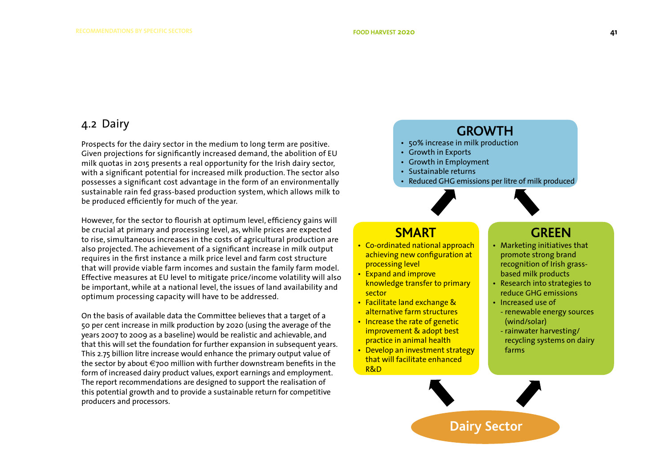### 4.2 Dairy

Prospects for the dairy sector in the medium to long term are positive. Given projections for significantly increased demand, the abolition of EU milk quotas in 2015 presents a real opportunity for the Irish dairy sector, with a significant potential for increased milk production. The sector also possesses a significant cost advantage in the form of an environmentally sustainable rain fed grass-based production system, which allows milk to be produced efficiently for much of the year.

However, for the sector to flourish at optimum level, efficiency gains will be crucial at primary and processing level, as, while prices are expected to rise, simultaneous increases in the costs of agricultural production are also projected. The achievement of a significant increase in milk output requires in the first instance a milk price level and farm cost structure that will provide viable farm incomes and sustain the family farm model. Effective measures at EU level to mitigate price/income volatility will also be important, while at a national level, the issues of land availability and optimum processing capacity will have to be addressed.

On the basis of available data the Committee believes that a target of a 50 per cent increase in milk production by 2020 (using the average of the years 2007 to 2009 as a baseline) would be realistic and achievable, and that this will set the foundation for further expansion in subsequent years. This 2.75 billion litre increase would enhance the primary output value of the sector by about €700 million with further downstream benefits in the form of increased dairy product values, export earnings and employment. The report recommendations are designed to support the realisation of this potential growth and to provide a sustainable return for competitive producers and processors.

# **GROWTH**

- 50% increase in milk production
- Growth in Exports
- Growth in Employment
- Sustainable returns
- Reduced GHG emissions per litre of milk produced



### **SMART**

- Co-ordinated national approach achieving new configuration at processing level
- Expand and improve knowledge transfer to primary sector
- Facilitate land exchange & alternative farm structures
- Increase the rate of genetic improvement & adopt best practice in animal health
- Develop an investment strategy that will facilitate enhanced R&D

## **GREEN**

- Marketing initiatives that promote strong brand recognition of Irish grassbased milk products
- Research into strategies to reduce GHG emissions
- Increased use of
- renewable energy sources (wind/solar)
- rainwater harvesting/ recycling systems on dairy farms

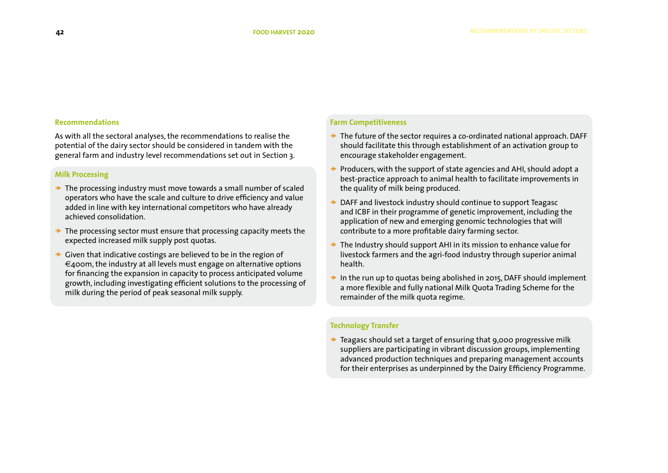### **Recommendations**

As with all the sectoral analyses, the recommendations to realise the potential of the dairy sector should be considered in tandem with the general farm and industry level recommendations set out in Section 3.

### **Milk Processing**

- $\rightarrow$  The processing industry must move towards a small number of scaled operators who have the scale and culture to drive efficiency and value added in line with key international competitors who have already achieved consolidation.
- $\rightarrow$  The processing sector must ensure that processing capacity meets the expected increased milk supply post quotas.
- $\rightarrow$  Given that indicative costings are believed to be in the region of  $\epsilon_4$ oom, the industry at all levels must engage on alternative options for financing the expansion in capacity to process anticipated volume growth, including investigating efficient solutions to the processing of milk during the period of peak seasonal milk supply.

### **Farm Competitiveness**

- $\rightarrow$  The future of the sector requires a co-ordinated national approach. DAFF should facilitate this through establishment of an activation group to encourage stakeholder engagement.
- Producers, with the support of state agencies and AHI, should adopt a best-practice approach to animal health to facilitate improvements in the quality of milk being produced.
- DAFF and livestock industry should continue to support Teagasc and ICBF in their programme of genetic improvement, including the application of new and emerging genomic technologies that will contribute to a more profitable dairy farming sector.
- $\rightarrow$  The Industry should support AHI in its mission to enhance value for livestock farmers and the agri-food industry through superior animal health.
- In the run up to quotas being abolished in 2015, DAFF should implement a more flexible and fully national Milk Quota Trading Scheme for the remainder of the milk quota regime.

### **Technology Transfer**

 $\rightarrow$  Teagasc should set a target of ensuring that 9,000 progressive milk suppliers are participating in vibrant discussion groups, implementing advanced production techniques and preparing management accounts for their enterprises as underpinned by the Dairy Efficiency Programme.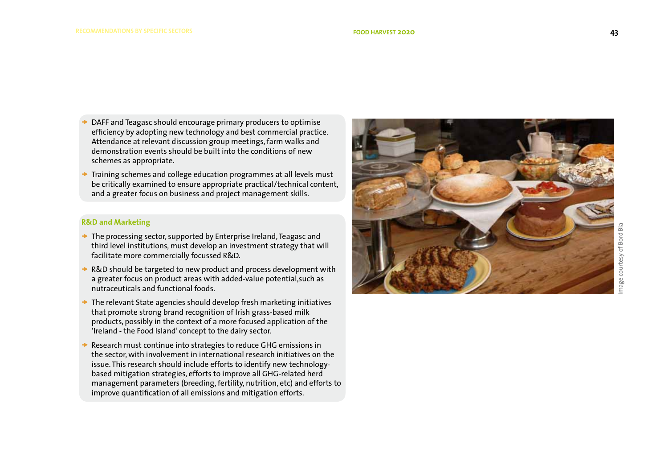- DAFF and Teagasc should encourage primary producers to optimise efficiency by adopting new technology and best commercial practice. Attendance at relevant discussion group meetings, farm walks and demonstration events should be built into the conditions of new schemes as appropriate.
- Training schemes and college education programmes at all levels must be critically examined to ensure appropriate practical/technical content, and a greater focus on business and project management skills.

### **R&D and Marketing**

- $\rightarrow$  The processing sector, supported by Enterprise Ireland, Teagasc and third level institutions, must develop an investment strategy that will facilitate more commercially focussed R&D.
- R&D should be targeted to new product and process development with a greater focus on product areas with added-value potential,such as nutraceuticals and functional foods.
- The relevant State agencies should develop fresh marketing initiatives that promote strong brand recognition of Irish grass-based milk products, possibly in the context of a more focused application of the 'Ireland - the Food Island' concept to the dairy sector.
- Research must continue into strategies to reduce GHG emissions in the sector, with involvement in international research initiatives on the issue. This research should include efforts to identify new technologybased mitigation strategies, efforts to improve all GHG-related herd management parameters (breeding, fertility, nutrition, etc) and efforts to improve quantification of all emissions and mitigation efforts.

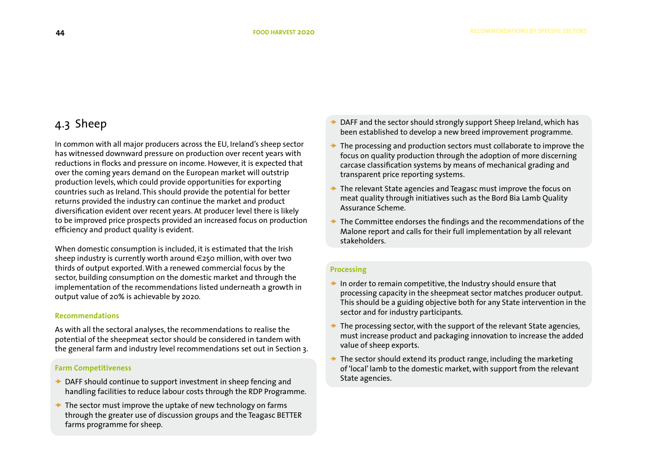# 4.3 Sheep

In common with all major producers across the EU, Ireland's sheep sector has witnessed downward pressure on production over recent years with reductions in flocks and pressure on income. However, it is expected that over the coming years demand on the European market will outstrip production levels, which could provide opportunities for exporting countries such as Ireland. This should provide the potential for better returns provided the industry can continue the market and product diversification evident over recent years. At producer level there is likely to be improved price prospects provided an increased focus on production efficiency and product quality is evident.

When domestic consumption is included, it is estimated that the Irish sheep industry is currently worth around  $\epsilon$ 250 million, with over two thirds of output exported. With a renewed commercial focus by the sector, building consumption on the domestic market and through the implementation of the recommendations listed underneath a growth in output value of 20% is achievable by 2020.

### **Recommendations**

As with all the sectoral analyses, the recommendations to realise the potential of the sheepmeat sector should be considered in tandem with the general farm and industry level recommendations set out in Section 3.

### **Farm Competitiveness**

- $\rightarrow$  DAFF should continue to support investment in sheep fencing and handling facilities to reduce labour costs through the RDP Programme.
- $\rightarrow$  The sector must improve the uptake of new technology on farms through the greater use of discussion groups and the Teagasc BETTER farms programme for sheep.
- DAFF and the sector should strongly support Sheep Ireland, which has been established to develop a new breed improvement programme.
- $\rightarrow$  The processing and production sectors must collaborate to improve the focus on quality production through the adoption of more discerning carcase classification systems by means of mechanical grading and transparent price reporting systems.
- The relevant State agencies and Teagasc must improve the focus on meat quality through initiatives such as the Bord Bia Lamb Quality Assurance Scheme.
- $\rightarrow$  The Committee endorses the findings and the recommendations of the Malone report and calls for their full implementation by all relevant stakeholders.

### **Processing**

- $\rightarrow$  In order to remain competitive, the Industry should ensure that processing capacity in the sheepmeat sector matches producer output. This should be a guiding objective both for any State intervention in the sector and for industry participants.
- The processing sector, with the support of the relevant State agencies, must increase product and packaging innovation to increase the added value of sheep exports.
- $\rightarrow$  The sector should extend its product range, including the marketing of 'local' lamb to the domestic market, with support from the relevant State agencies.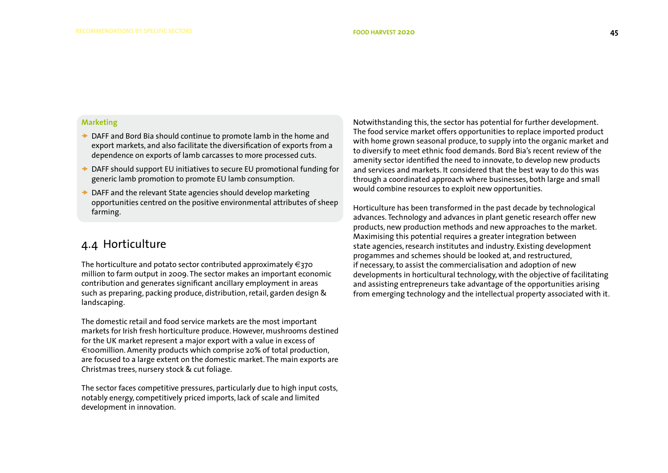### **Marketing**

- ◆ DAFF and Bord Bia should continue to promote lamb in the home and export markets, and also facilitate the diversification of exports from a dependence on exports of lamb carcasses to more processed cuts.
- ◆ DAFF should support EU initiatives to secure EU promotional funding for generic lamb promotion to promote EU lamb consumption.
- $\rightarrow$  DAFF and the relevant State agencies should develop marketing opportunities centred on the positive environmental attributes of sheep farming.

## 4.4 Horticulture

The horticulture and potato sector contributed approximately  $\epsilon$ 370 million to farm output in 2009. The sector makes an important economic contribution and generates significant ancillary employment in areas such as preparing, packing produce, distribution, retail, garden design & landscaping.

The domestic retail and food service markets are the most important markets for Irish fresh horticulture produce. However, mushrooms destined for the UK market represent a major export with a value in excess of €100million. Amenity products which comprise 20% of total production, are focused to a large extent on the domestic market. The main exports are Christmas trees, nursery stock & cut foliage.

The sector faces competitive pressures, particularly due to high input costs, notably energy, competitively priced imports, lack of scale and limited development in innovation.

Notwithstanding this, the sector has potential for further development. The food service market offers opportunities to replace imported product with home grown seasonal produce, to supply into the organic market and to diversify to meet ethnic food demands. Bord Bia's recent review of the amenity sector identified the need to innovate, to develop new products and services and markets. It considered that the best way to do this was through a coordinated approach where businesses, both large and small would combine resources to exploit new opportunities.

Horticulture has been transformed in the past decade by technological advances. Technology and advances in plant genetic research offer new products, new production methods and new approaches to the market. Maximising this potential requires a greater integration between state agencies, research institutes and industry. Existing development progammes and schemes should be looked at, and restructured, if necessary, to assist the commercialisation and adoption of new developments in horticultural technology, with the objective of facilitating and assisting entrepreneurs take advantage of the opportunities arising from emerging technology and the intellectual property associated with it.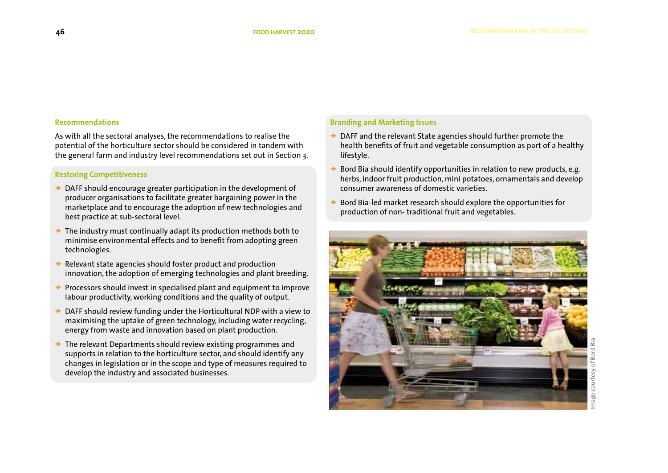### **Recommendations**

As with all the sectoral analyses, the recommendations to realise the potential of the horticulture sector should be considered in tandem with the general farm and industry level recommendations set out in Section 3.

### **Restoring Competitiveness**

- DAFF should encourage greater participation in the development of producer organisations to facilitate greater bargaining power in the marketplace and to encourage the adoption of new technologies and best practice at sub-sectoral level.
- The industry must continually adapt its production methods both to minimise environmental effects and to benefit from adopting green technologies.
- Relevant state agencies should foster product and production innovation, the adoption of emerging technologies and plant breeding.
- Processors should invest in specialised plant and equipment to improve labour productivity, working conditions and the quality of output.
- DAFF should review funding under the Horticultural NDP with a view to maximising the uptake of green technology, including water recycling, energy from waste and innovation based on plant production.
- The relevant Departments should review existing programmes and supports in relation to the horticulture sector, and should identify any changes in legislation or in the scope and type of measures required to develop the industry and associated businesses.

### **Branding and Marketing Issues**

- $\rightarrow$  DAFF and the relevant State agencies should further promote the health benefits of fruit and vegetable consumption as part of a healthy lifestyle.
- Bord Bia should identify opportunities in relation to new products, e.g. herbs, indoor fruit production, mini potatoes, ornamentals and develop consumer awareness of domestic varieties.
- Bord Bia-led market research should explore the opportunities for production of non- traditional fruit and vegetables.

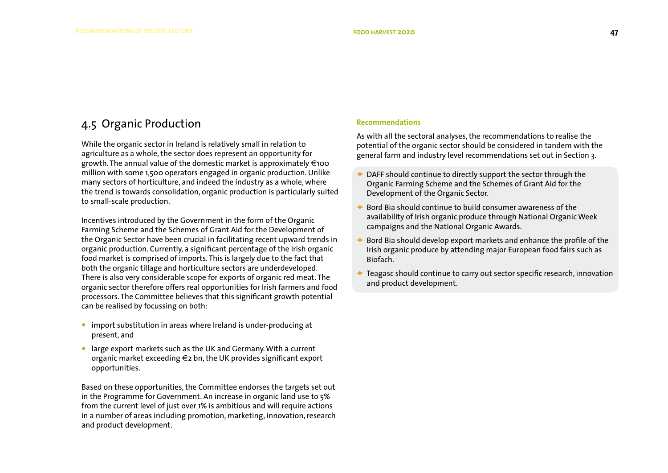# 4.5 Organic Production

While the organic sector in Ireland is relatively small in relation to agriculture as a whole, the sector does represent an opportunity for growth. The annual value of the domestic market is approximately  $\in$ 100 million with some 1,500 operators engaged in organic production. Unlike many sectors of horticulture, and indeed the industry as a whole, where the trend is towards consolidation, organic production is particularly suited to small-scale production.

Incentives introduced by the Government in the form of the Organic Farming Scheme and the Schemes of Grant Aid for the Development of the Organic Sector have been crucial in facilitating recent upward trends in organic production. Currently, a significant percentage of the Irish organic food market is comprised of imports. This is largely due to the fact that both the organic tillage and horticulture sectors are underdeveloped. There is also very considerable scope for exports of organic red meat. The organic sector therefore offers real opportunities for Irish farmers and food processors. The Committee believes that this significant growth potential can be realised by focussing on both:

- import substitution in areas where Ireland is under-producing at present, and
- large export markets such as the UK and Germany. With a current organic market exceeding €2 bn, the UK provides significant export opportunities.

Based on these opportunities, the Committee endorses the targets set out in the Programme for Government. An increase in organic land use to 5% from the current level of just over 1% is ambitious and will require actions in a number of areas including promotion, marketing, innovation, research and product development.

### **Recommendations**

As with all the sectoral analyses, the recommendations to realise the potential of the organic sector should be considered in tandem with the general farm and industry level recommendations set out in Section 3.

- DAFF should continue to directly support the sector through the Organic Farming Scheme and the Schemes of Grant Aid for the Development of the Organic Sector.
- Bord Bia should continue to build consumer awareness of the availability of Irish organic produce through National Organic Week campaigns and the National Organic Awards.
- Bord Bia should develop export markets and enhance the profile of the Irish organic produce by attending major European food fairs such as Biofach.
- Teagasc should continue to carry out sector specific research, innovation and product development.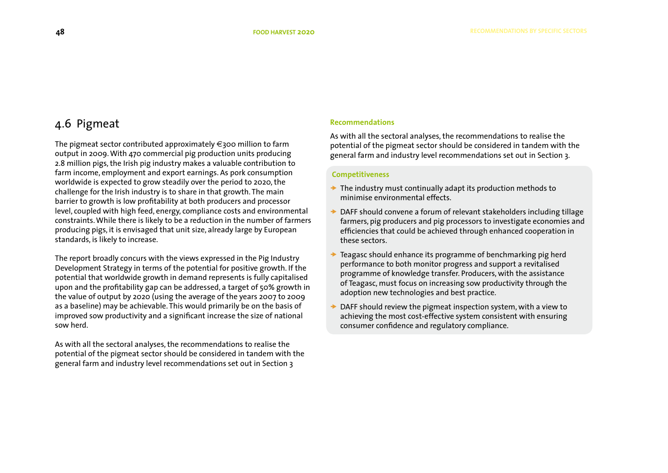# 4.6 Pigmeat

The pigmeat sector contributed approximately  $\in$ 300 million to farm output in 2009. With 470 commercial pig production units producing 2.8 million pigs, the Irish pig industry makes a valuable contribution to farm income, employment and export earnings. As pork consumption worldwide is expected to grow steadily over the period to 2020, the challenge for the Irish industry is to share in that growth. The main barrier to growth is low profitability at both producers and processor level, coupled with high feed, energy, compliance costs and environmental constraints. While there is likely to be a reduction in the number of farmers producing pigs, it is envisaged that unit size, already large by European standards, is likely to increase.

The report broadly concurs with the views expressed in the Pig Industry Development Strategy in terms of the potential for positive growth. If the potential that worldwide growth in demand represents is fully capitalised upon and the profitability gap can be addressed, a target of 50% growth in the value of output by 2020 (using the average of the years 2007 to 2009 as a baseline) may be achievable. This would primarily be on the basis of improved sow productivity and a significant increase the size of national sow herd.

As with all the sectoral analyses, the recommendations to realise the potential of the pigmeat sector should be considered in tandem with the general farm and industry level recommendations set out in Section 3

### **Recommendations**

As with all the sectoral analyses, the recommendations to realise the potential of the pigmeat sector should be considered in tandem with the general farm and industry level recommendations set out in Section 3.

### **Competitiveness**

- $\rightarrow$  The industry must continually adapt its production methods to minimise environmental effects.
- $\rightarrow$  DAFF should convene a forum of relevant stakeholders including tillage farmers, pig producers and pig processors to investigate economies and efficiencies that could be achieved through enhanced cooperation in these sectors.
- Teagasc should enhance its programme of benchmarking pig herd performance to both monitor progress and support a revitalised programme of knowledge transfer. Producers, with the assistance of Teagasc, must focus on increasing sow productivity through the adoption new technologies and best practice.
- DAFF should review the pigmeat inspection system, with a view to achieving the most cost-effective system consistent with ensuring consumer confidence and regulatory compliance.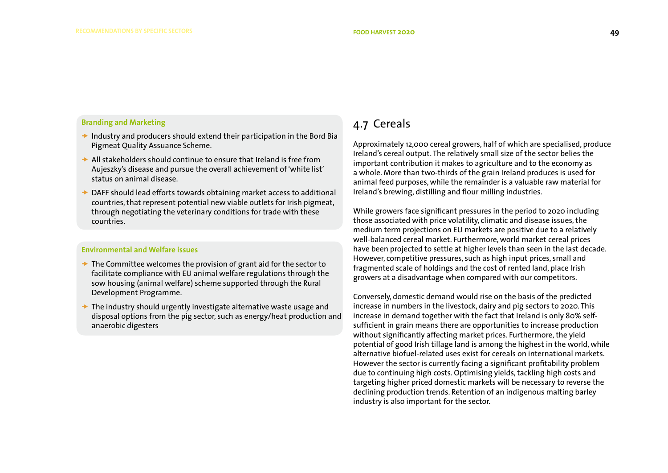### **Branding and Marketing**

- $\rightarrow$  Industry and producers should extend their participation in the Bord Bia Pigmeat Quality Assuance Scheme.
- $\rightarrow$  All stakeholders should continue to ensure that Ireland is free from Aujeszky's disease and pursue the overall achievement of 'white list' status on animal disease.
- **→ DAFF should lead efforts towards obtaining market access to additional** countries, that represent potential new viable outlets for Irish pigmeat, through negotiating the veterinary conditions for trade with these countries.

### **Environmental and Welfare issues**

- $\rightarrow$  The Committee welcomes the provision of grant aid for the sector to facilitate compliance with EU animal welfare regulations through the sow housing (animal welfare) scheme supported through the Rural Development Programme.
- $\rightarrow$  The industry should urgently investigate alternative waste usage and disposal options from the pig sector, such as energy/heat production and anaerobic digesters

# 4.7 Cereals

Approximately 12,000 cereal growers, half of which are specialised, produce Ireland's cereal output. The relatively small size of the sector belies the important contribution it makes to agriculture and to the economy as a whole. More than two-thirds of the grain Ireland produces is used for animal feed purposes, while the remainder is a valuable raw material for Ireland's brewing, distilling and flour milling industries.

While growers face significant pressures in the period to 2020 including those associated with price volatility, climatic and disease issues, the medium term projections on EU markets are positive due to a relatively well-balanced cereal market. Furthermore, world market cereal prices have been projected to settle at higher levels than seen in the last decade. However, competitive pressures, such as high input prices, small and fragmented scale of holdings and the cost of rented land, place Irish growers at a disadvantage when compared with our competitors.

Conversely, domestic demand would rise on the basis of the predicted increase in numbers in the livestock, dairy and pig sectors to 2020. This increase in demand together with the fact that Ireland is only 80% selfsufficient in grain means there are opportunities to increase production without significantly affecting market prices. Furthermore, the yield potential of good Irish tillage land is among the highest in the world, while alternative biofuel-related uses exist for cereals on international markets. However the sector is currently facing a significant profitability problem due to continuing high costs. Optimising yields, tackling high costs and targeting higher priced domestic markets will be necessary to reverse the declining production trends. Retention of an indigenous malting barley industry is also important for the sector.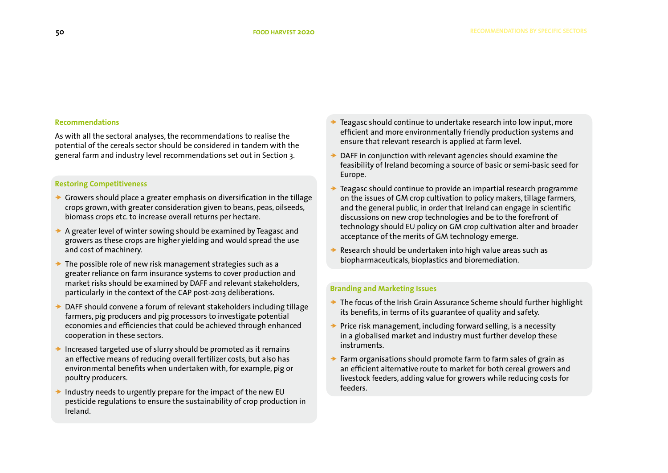### **Recommendations**

As with all the sectoral analyses, the recommendations to realise the potential of the cereals sector should be considered in tandem with the general farm and industry level recommendations set out in Section 3.

### **Restoring Competitiveness**

- $\rightarrow$  Growers should place a greater emphasis on diversification in the tillage crops grown, with greater consideration given to beans, peas, oilseeds, biomass crops etc. to increase overall returns per hectare.
- $\rightarrow$  A greater level of winter sowing should be examined by Teagasc and growers as these crops are higher yielding and would spread the use and cost of machinery.
- The possible role of new risk management strategies such as a greater reliance on farm insurance systems to cover production and market risks should be examined by DAFF and relevant stakeholders, particularly in the context of the CAP post-2013 deliberations.
- DAFF should convene a forum of relevant stakeholders including tillage farmers, pig producers and pig processors to investigate potential economies and efficiencies that could be achieved through enhanced cooperation in these sectors.
- Increased targeted use of slurry should be promoted as it remains an effective means of reducing overall fertilizer costs, but also has environmental benefits when undertaken with, for example, pig or poultry producers.
- Industry needs to urgently prepare for the impact of the new EU pesticide regulations to ensure the sustainability of crop production in Ireland.
- Teagasc should continue to undertake research into low input, more efficient and more environmentally friendly production systems and ensure that relevant research is applied at farm level.
- DAFF in conjunction with relevant agencies should examine the feasibility of Ireland becoming a source of basic or semi-basic seed for Europe.
- Teagasc should continue to provide an impartial research programme on the issues of GM crop cultivation to policy makers, tillage farmers, and the general public, in order that Ireland can engage in scientific discussions on new crop technologies and be to the forefront of technology should EU policy on GM crop cultivation alter and broader acceptance of the merits of GM technology emerge.
- Research should be undertaken into high value areas such as biopharmaceuticals, bioplastics and bioremediation.

### **Branding and Marketing Issues**

- $\rightarrow$  The focus of the Irish Grain Assurance Scheme should further highlight its benefits, in terms of its guarantee of quality and safety.
- Price risk management, including forward selling, is a necessity in a globalised market and industry must further develop these instruments.
- $\rightarrow$  Farm organisations should promote farm to farm sales of grain as an efficient alternative route to market for both cereal growers and livestock feeders, adding value for growers while reducing costs for feeders.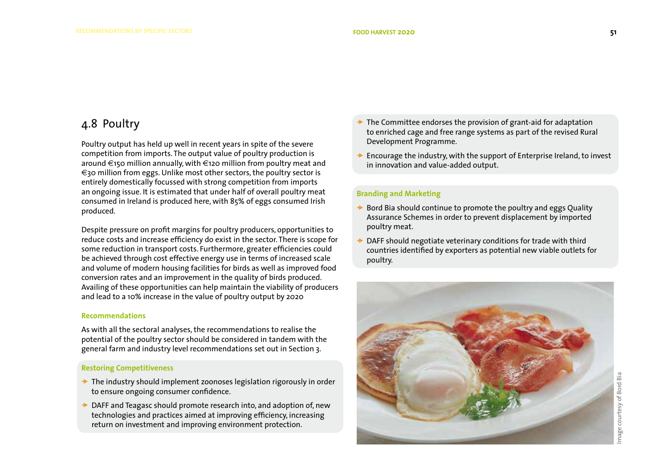# 4.8 Poultry

Poultry output has held up well in recent years in spite of the severe competition from imports. The output value of poultry production is around €150 million annually, with €120 million from poultry meat and €30 million from eggs. Unlike most other sectors, the poultry sector is entirely domestically focussed with strong competition from imports an ongoing issue. It is estimated that under half of overall poultry meat consumed in Ireland is produced here, with 85% of eggs consumed Irish produced.

Despite pressure on profit margins for poultry producers, opportunities to reduce costs and increase efficiency do exist in the sector. There is scope for some reduction in transport costs. Furthermore, greater efficiencies could be achieved through cost effective energy use in terms of increased scale and volume of modern housing facilities for birds as well as improved food conversion rates and an improvement in the quality of birds produced. Availing of these opportunities can help maintain the viability of producers and lead to a 10% increase in the value of poultry output by 2020

### **Recommendations**

As with all the sectoral analyses, the recommendations to realise the potential of the poultry sector should be considered in tandem with the general farm and industry level recommendations set out in Section 3.

### **Restoring Competitiveness**

- $\rightarrow$  The industry should implement zoonoses legislation rigorously in order to ensure ongoing consumer confidence.
- **→ DAFF and Teagasc should promote research into, and adoption of, new** technologies and practices aimed at improving efficiency, increasing return on investment and improving environment protection.
- The Committee endorses the provision of grant-aid for adaptation to enriched cage and free range systems as part of the revised Rural Development Programme.
- Encourage the industry, with the support of Enterprise Ireland, to invest in innovation and value-added output.

### **Branding and Marketing**

- Bord Bia should continue to promote the poultry and eggs Quality Assurance Schemes in order to prevent displacement by imported poultry meat.
- DAFF should negotiate veterinary conditions for trade with third countries identified by exporters as potential new viable outlets for poultry.

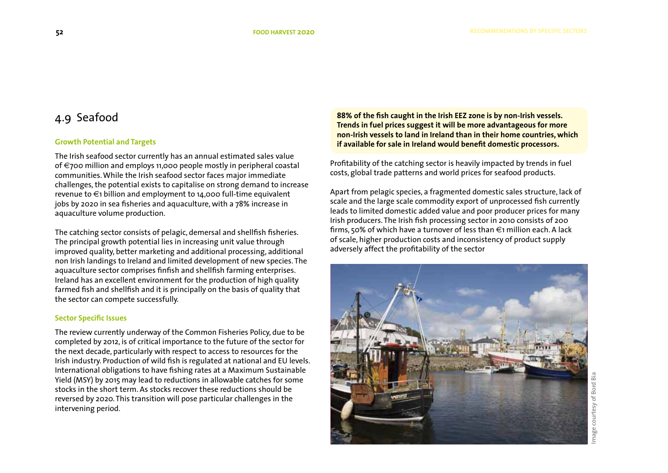# 4.9 Seafood

### **Growth Potential and Targets**

The Irish seafood sector currently has an annual estimated sales value of €700 million and employs 11,000 people mostly in peripheral coastal communities. While the Irish seafood sector faces major immediate challenges, the potential exists to capitalise on strong demand to increase revenue to  $\epsilon_1$  billion and employment to 14,000 full-time equivalent jobs by 2020 in sea fisheries and aquaculture, with a 78% increase in aquaculture volume production.

The catching sector consists of pelagic, demersal and shellfish fisheries. The principal growth potential lies in increasing unit value through improved quality, better marketing and additional processing, additional non Irish landings to Ireland and limited development of new species. The aquaculture sector comprises finfish and shellfish farming enterprises. Ireland has an excellent environment for the production of high quality farmed fish and shellfish and it is principally on the basis of quality that the sector can compete successfully.

### **Sector Specific Issues**

The review currently underway of the Common Fisheries Policy, due to be completed by 2012, is of critical importance to the future of the sector for the next decade, particularly with respect to access to resources for the Irish industry. Production of wild fish is regulated at national and EU levels. International obligations to have fishing rates at a Maximum Sustainable Yield (MSY) by 2015 may lead to reductions in allowable catches for some stocks in the short term. As stocks recover these reductions should be reversed by 2020. This transition will pose particular challenges in the intervening period.

**88% of the fish caught in the Irish EEZ zone is by non-Irish vessels. Trends in fuel prices suggest it will be more advantageous for more non-Irish vessels to land in Ireland than in their home countries, which if available for sale in Ireland would benefit domestic processors.**

Profitability of the catching sector is heavily impacted by trends in fuel costs, global trade patterns and world prices for seafood products.

Apart from pelagic species, a fragmented domestic sales structure, lack of scale and the large scale commodity export of unprocessed fish currently leads to limited domestic added value and poor producer prices for many Irish producers. The Irish fish processing sector in 2010 consists of 200 firms, 50% of which have a turnover of less than €1 million each. A lack of scale, higher production costs and inconsistency of product supply adversely affect the profitability of the sector

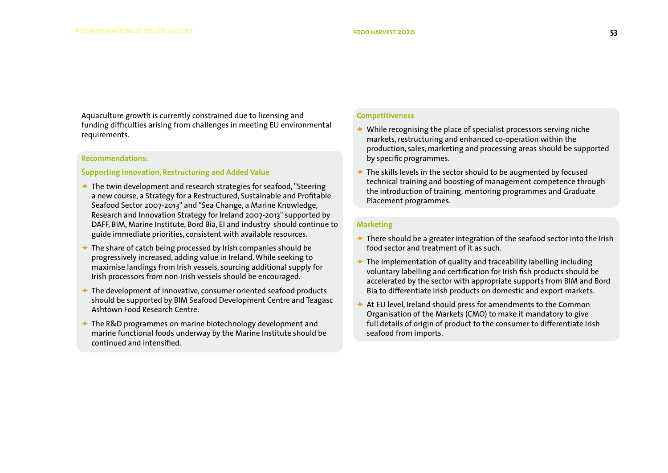Aquaculture growth is currently constrained due to licensing and funding difficulties arising from challenges in meeting EU environmental requirements.

### **Recommendations:**

### **Supporting Innovation, Restructuring and Added Value**

- $\rightarrow$  The twin development and research strategies for seafood. "Steering a new course, a Strategy for a Restructured, Sustainable and Profitable Seafood Sector 2007-2013" and "Sea Change, a Marine Knowledge, Research and Innovation Strategy for Ireland 2007-2013" supported by DAFF, BIM, Marine Institute, Bord Bia, EI and industry should continue to guide immediate priorities, consistent with available resources.
- $\rightarrow$  The share of catch being processed by Irish companies should be progressively increased, adding value in Ireland. While seeking to maximise landings from Irish vessels, sourcing additional supply for Irish processors from non-Irish vessels should be encouraged.
- $\rightarrow$  The development of innovative, consumer oriented seafood products should be supported by BIM Seafood Development Centre and Teagasc Ashtown Food Research Centre.
- $\rightarrow$  The R&D programmes on marine biotechnology development and marine functional foods underway by the Marine Institute should be continued and intensified.

### **Competitiveness**

- $\rightarrow$  While recognising the place of specialist processors serving niche markets, restructuring and enhanced co-operation within the production, sales, marketing and processing areas should be supported by specific programmes.
- The skills levels in the sector should to be augmented by focused technical training and boosting of management competence through the introduction of training, mentoring programmes and Graduate Placement programmes.

### **Marketing**

- $\rightarrow$  There should be a greater integration of the seafood sector into the Irish food sector and treatment of it as such.
- The implementation of quality and traceability labelling including voluntary labelling and certification for Irish fish products should be accelerated by the sector with appropriate supports from BIM and Bord Bia to differentiate Irish products on domestic and export markets.
- At EU level, Ireland should press for amendments to the Common Organisation of the Markets (CMO) to make it mandatory to give full details of origin of product to the consumer to differentiate Irish seafood from imports.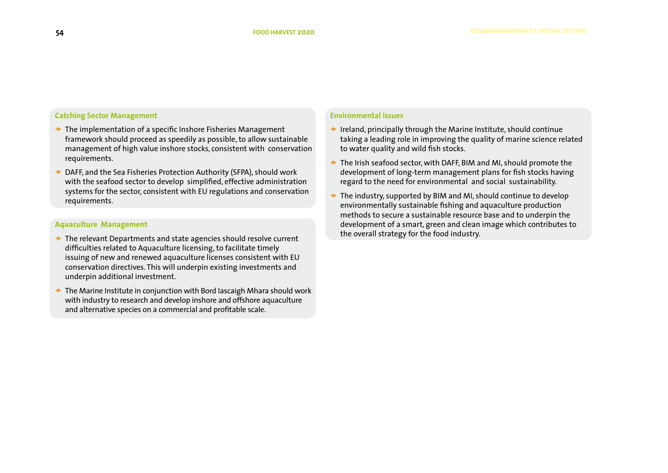### **Catching Sector Management**

- $\rightarrow$  The implementation of a specific Inshore Fisheries Management framework should proceed as speedily as possible, to allow sustainable management of high value inshore stocks, consistent with conservation requirements.
- DAFF, and the Sea Fisheries Protection Authority (SFPA), should work with the seafood sector to develop simplified, effective administration systems for the sector, consistent with EU regulations and conservation requirements.

### **Aquaculture Management**

- $\rightarrow$  The relevant Departments and state agencies should resolve current difficulties related to Aquaculture licensing, to facilitate timely issuing of new and renewed aquaculture licenses consistent with EU conservation directives. This will underpin existing investments and underpin additional investment.
- $\rightarrow$  The Marine Institute in conjunction with Bord Iascaigh Mhara should work with industry to research and develop inshore and offshore aquaculture and alternative species on a commercial and profitable scale.

### **Environmental Issues**

- $\rightarrow$  Ireland, principally through the Marine Institute, should continue taking a leading role in improving the quality of marine science related to water quality and wild fish stocks.
- $\rightarrow$  The Irish seafood sector, with DAFF, BIM and MI, should promote the development of long-term management plans for fish stocks having regard to the need for environmental and social sustainability.
- $\rightarrow$  The industry, supported by BIM and MI, should continue to develop environmentally sustainable fishing and aquaculture production methods to secure a sustainable resource base and to underpin the development of a smart, green and clean image which contributes to the overall strategy for the food industry.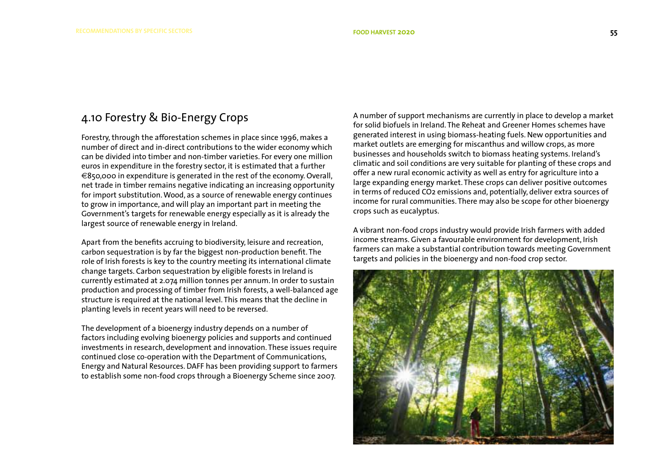# 4.10 Forestry & Bio-Energy Crops

Forestry, through the afforestation schemes in place since 1996, makes a number of direct and in-direct contributions to the wider economy which can be divided into timber and non-timber varieties. For every one million euros in expenditure in the forestry sector, it is estimated that a further €850,000 in expenditure is generated in the rest of the economy. Overall, net trade in timber remains negative indicating an increasing opportunity for import substitution. Wood, as a source of renewable energy continues to grow in importance, and will play an important part in meeting the Government's targets for renewable energy especially as it is already the largest source of renewable energy in Ireland.

Apart from the benefits accruing to biodiversity, leisure and recreation, carbon sequestration is by far the biggest non-production benefit. The role of Irish forests is key to the country meeting its international climate change targets. Carbon sequestration by eligible forests in Ireland is currently estimated at 2.074 million tonnes per annum. In order to sustain production and processing of timber from Irish forests, a well-balanced age structure is required at the national level. This means that the decline in planting levels in recent years will need to be reversed.

The development of a bioenergy industry depends on a number of factors including evolving bioenergy policies and supports and continued investments in research, development and innovation. These issues require continued close co-operation with the Department of Communications, Energy and Natural Resources. DAFF has been providing support to farmers to establish some non-food crops through a Bioenergy Scheme since 2007.

A number of support mechanisms are currently in place to develop a market for solid biofuels in Ireland. The Reheat and Greener Homes schemes have generated interest in using biomass-heating fuels. New opportunities and market outlets are emerging for miscanthus and willow crops, as more businesses and households switch to biomass heating systems. Ireland's climatic and soil conditions are very suitable for planting of these crops and offer a new rural economic activity as well as entry for agriculture into a large expanding energy market. These crops can deliver positive outcomes in terms of reduced CO2 emissions and, potentially, deliver extra sources of income for rural communities. There may also be scope for other bioenergy crops such as eucalyptus.

A vibrant non-food crops industry would provide Irish farmers with added income streams. Given a favourable environment for development, Irish farmers can make a substantial contribution towards meeting Government targets and policies in the bioenergy and non-food crop sector.

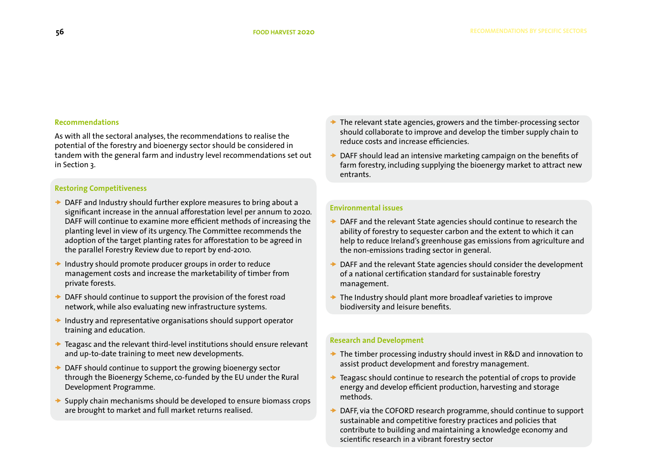### **Recommendations**

As with all the sectoral analyses, the recommendations to realise the potential of the forestry and bioenergy sector should be considered in tandem with the general farm and industry level recommendations set out in Section 3.

### **Restoring Competitiveness**

- $\rightarrow$  DAFF and Industry should further explore measures to bring about a significant increase in the annual afforestation level per annum to 2020. DAFF will continue to examine more efficient methods of increasing the planting level in view of its urgency. The Committee recommends the adoption of the target planting rates for afforestation to be agreed in the parallel Forestry Review due to report by end-2010.
- Industry should promote producer groups in order to reduce management costs and increase the marketability of timber from private forests.
- DAFF should continue to support the provision of the forest road network, while also evaluating new infrastructure systems.
- $\rightarrow$  Industry and representative organisations should support operator training and education.
- $\rightarrow$  Teagasc and the relevant third-level institutions should ensure relevant and up-to-date training to meet new developments.
- $\rightarrow$  DAFF should continue to support the growing bioenergy sector through the Bioenergy Scheme, co-funded by the EU under the Rural Development Programme.
- $\rightarrow$  Supply chain mechanisms should be developed to ensure biomass crops are brought to market and full market returns realised.
- The relevant state agencies, growers and the timber-processing sector should collaborate to improve and develop the timber supply chain to reduce costs and increase efficiencies.
- DAFF should lead an intensive marketing campaign on the benefits of farm forestry, including supplying the bioenergy market to attract new entrants.

### **Environmental issues**

- $\rightarrow$  DAFF and the relevant State agencies should continue to research the ability of forestry to sequester carbon and the extent to which it can help to reduce Ireland's greenhouse gas emissions from agriculture and the non-emissions trading sector in general.
- DAFF and the relevant State agencies should consider the development of a national certification standard for sustainable forestry management.
- $\rightarrow$  The Industry should plant more broadleaf varieties to improve biodiversity and leisure benefits.

### **Research and Development**

- $\rightarrow$  The timber processing industry should invest in R&D and innovation to assist product development and forestry management.
- Teagasc should continue to research the potential of crops to provide energy and develop efficient production, harvesting and storage methods.
- DAFF, via the COFORD research programme, should continue to support sustainable and competitive forestry practices and policies that contribute to building and maintaining a knowledge economy and scientific research in a vibrant forestry sector